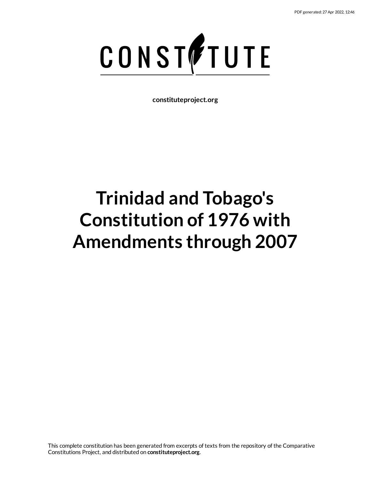# CONSTETUTE

**constituteproject.org**

# **Trinidad and Tobago's Constitution of 1976 with Amendments through 2007**

This complete constitution has been generated from excerpts of texts from the repository of the Comparative Constitutions Project, and distributed on **constituteproject.org**.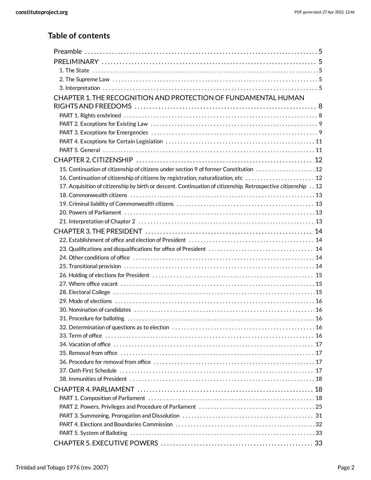## **Table of contents**

| CHAPTER 1. THE RECOGNITION AND PROTECTION OF FUNDAMENTAL HUMAN                                                                                                                |  |
|-------------------------------------------------------------------------------------------------------------------------------------------------------------------------------|--|
|                                                                                                                                                                               |  |
|                                                                                                                                                                               |  |
|                                                                                                                                                                               |  |
|                                                                                                                                                                               |  |
|                                                                                                                                                                               |  |
|                                                                                                                                                                               |  |
|                                                                                                                                                                               |  |
| 15. Continuation of citizenship of citizens under section 9 of former Constitution 12<br>16. Continuation of citizenship of citizens by registration, naturalization, etc  12 |  |
| 17. Acquisition of citizenship by birth or descent. Continuation of citizenship. Retrospective citizenship 12                                                                 |  |
|                                                                                                                                                                               |  |
|                                                                                                                                                                               |  |
|                                                                                                                                                                               |  |
|                                                                                                                                                                               |  |
|                                                                                                                                                                               |  |
|                                                                                                                                                                               |  |
|                                                                                                                                                                               |  |
| 23. Qualifications and disqualifications for office of President  14                                                                                                          |  |
|                                                                                                                                                                               |  |
|                                                                                                                                                                               |  |
|                                                                                                                                                                               |  |
|                                                                                                                                                                               |  |
|                                                                                                                                                                               |  |
|                                                                                                                                                                               |  |
|                                                                                                                                                                               |  |
|                                                                                                                                                                               |  |
|                                                                                                                                                                               |  |
|                                                                                                                                                                               |  |
|                                                                                                                                                                               |  |
|                                                                                                                                                                               |  |
|                                                                                                                                                                               |  |
|                                                                                                                                                                               |  |
|                                                                                                                                                                               |  |
|                                                                                                                                                                               |  |
|                                                                                                                                                                               |  |
|                                                                                                                                                                               |  |
|                                                                                                                                                                               |  |
|                                                                                                                                                                               |  |
|                                                                                                                                                                               |  |
|                                                                                                                                                                               |  |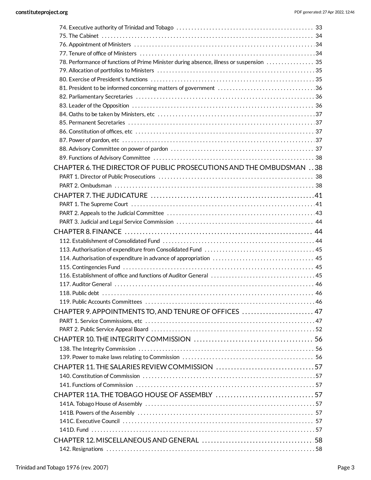| 78. Performance of functions of Prime Minister during absence, illness or suspension  35 |  |
|------------------------------------------------------------------------------------------|--|
|                                                                                          |  |
|                                                                                          |  |
|                                                                                          |  |
|                                                                                          |  |
|                                                                                          |  |
|                                                                                          |  |
|                                                                                          |  |
|                                                                                          |  |
|                                                                                          |  |
|                                                                                          |  |
|                                                                                          |  |
| CHAPTER 6. THE DIRECTOR OF PUBLIC PROSECUTIONS AND THE OMBUDSMAN 38                      |  |
|                                                                                          |  |
|                                                                                          |  |
|                                                                                          |  |
|                                                                                          |  |
|                                                                                          |  |
|                                                                                          |  |
|                                                                                          |  |
|                                                                                          |  |
|                                                                                          |  |
|                                                                                          |  |
|                                                                                          |  |
|                                                                                          |  |
|                                                                                          |  |
|                                                                                          |  |
|                                                                                          |  |
|                                                                                          |  |
| CHAPTER 9. APPOINTMENTS TO, AND TENURE OF OFFICES  47                                    |  |
|                                                                                          |  |
|                                                                                          |  |
|                                                                                          |  |
|                                                                                          |  |
|                                                                                          |  |
| CHAPTER 11. THE SALARIES REVIEW COMMISSION 57                                            |  |
|                                                                                          |  |
|                                                                                          |  |
|                                                                                          |  |
|                                                                                          |  |
|                                                                                          |  |
|                                                                                          |  |
|                                                                                          |  |
|                                                                                          |  |
|                                                                                          |  |
|                                                                                          |  |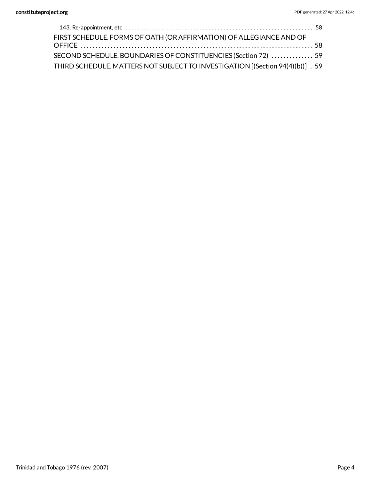| FIRST SCHEDULE. FORMS OF OATH (OR AFFIRMATION) OF ALLEGIANCE AND OF            |  |
|--------------------------------------------------------------------------------|--|
|                                                                                |  |
| SECOND SCHEDULE. BOUNDARIES OF CONSTITUENCIES (Section 72)  59                 |  |
| THIRD SCHEDULE. MATTERS NOT SUBJECT TO INVESTIGATION [(Section 94(4)(b))] . 59 |  |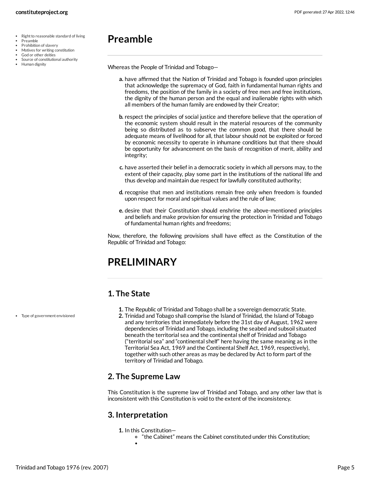- Right to reasonable standard of living  $\bullet$
- Preamble
- Prohibition of slavery
- Motives for writing constitution God or other deities
- Source of constitutional authority
- Human dignity

# <span id="page-4-0"></span>**Preamble**

Whereas the People of Trinidad and Tobago—

- **a.** have affirmed that the Nation of Trinidad and Tobago is founded upon principles that acknowledge the supremacy of God, faith in fundamental human rights and freedoms, the position of the family in a society of free men and free institutions, the dignity of the human person and the equal and inalienable rights with which all members of the human family are endowed by their Creator;
- **b.** respect the principles of social justice and therefore believe that the operation of the economic system should result in the material resources of the community being so distributed as to subserve the common good, that there should be adequate means of livelihood for all, that labour should not be exploited or forced by economic necessity to operate in inhumane conditions but that there should be opportunity for advancement on the basis of recognition of merit, ability and integrity;
- **c.** have asserted their belief in a democratic society in which all persons may, to the extent of their capacity, play some part in the institutions of the national life and thus develop and maintain due respect for lawfully constituted authority;
- **d.** recognise that men and institutions remain free only when freedom is founded upon respect for moral and spiritual values and the rule of law;
- **e.** desire that their Constitution should enshrine the above-mentioned principles and beliefs and make provision for ensuring the protection in Trinidad and Tobago of fundamental human rights and freedoms;

Now, therefore, the following provisions shall have effect as the Constitution of the Republic of Trinidad and Tobago:

# <span id="page-4-1"></span>**PRELIMINARY**

## <span id="page-4-2"></span>**1. The State**

- **1.** The Republic of Trinidad and Tobago shall be a sovereign democratic State.
- **2.** Trinidad and Tobago shall comprise the Island of Trinidad, the Island of Tobago and any territories that immediately before the 31st day of August, 1962 were dependencies of Trinidad and Tobago, including the seabed and subsoil situated beneath the territorial sea and the continental shelf of Trinidad and Tobago ("territorial sea" and "continental shelf" here having the same meaning as in the Territorial Sea Act, 1969 and the Continental Shelf Act, 1969, respectively), together with such other areas as may be declared by Act to form part of the territory of Trinidad and Tobago.

## <span id="page-4-3"></span>**2. The Supreme Law**

This Constitution is the supreme law of Trinidad and Tobago, and any other law that is inconsistent with this Constitution is void to the extent of the inconsistency.

## <span id="page-4-4"></span>**3. Interpretation**

**1.** In this Constitution—

"the Cabinet" means the Cabinet constituted under this Constitution;  $\circ$ 

Type of government envisioned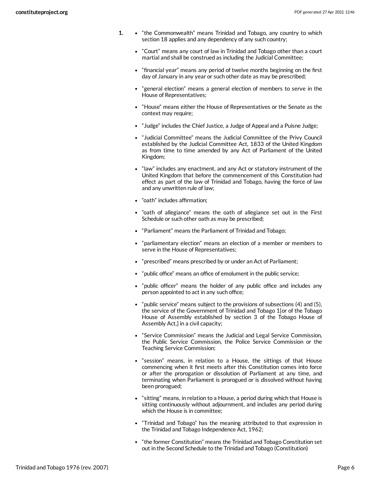- **1.** "the Commonwealth" means Trinidad and Tobago, any country to which section 18 applies and any dependency of any such country;
	- "Court" means any court of law in Trinidad and Tobago other than a court martial and shall be construed as including the Judicial Committee;
	- "financial year" means any period of twelve months beginning on the first day of January in any year or such other date as may be prescribed;
	- "general election" means a general election of members to serve in the House of Representatives;
	- "House" means either the House of Representatives or the Senate as the context may require;
	- "Judge" includes the Chief Justice, a Judge of Appeal and a Puisne Judge;
	- "Judicial Committee" means the Judicial Committee of the Privy Council established by the Judicial Committee Act, 1833 of the United Kingdom as from time to time amended by any Act of Parliament of the United Kingdom;
	- "law" includes any enactment, and any Act or statutory instrument of the United Kingdom that before the commencement of this Constitution had effect as part of the law of Trinidad and Tobago, having the force of law and any unwritten rule of law;
	- "oath" includes affirmation;
	- "oath of allegiance" means the oath of allegiance set out in the First Schedule or such other oath as may be prescribed;
	- "Parliament" means the Parliament of Trinidad and Tobago;
	- "parliamentary election" means an election of a member or members to serve in the House of Representatives;
	- "prescribed" means prescribed by or under an Act of Parliament;
	- "public office" means an office of emolument in the public service;
	- "public officer" means the holder of any public office and includes any person appointed to act in any such office;
	- "public service" means subject to the provisions of subsections (4) and (5), the service of the Government of Trinidad and Tobago 1[or of the Tobago House of Assembly established by section 3 of the Tobago House of Assembly Act,] in a civil capacity;
	- "Service Commission" means the Judicial and Legal Service Commission, the Public Service Commission, the Police Service Commission or the Teaching Service Commission;
	- "session" means, in relation to a House, the sittings of that House commencing when it first meets after this Constitution comes into force or after the prorogation or dissolution of Parliament at any time, and terminating when Parliament is prorogued or is dissolved without having been prorogued;
	- "sitting" means, in relation to a House, a period during which that House is sitting continuously without adjournment, and includes any period during which the House is in committee;
	- "Trinidad and Tobago" has the meaning attributed to that expression in the Trinidad and Tobago Independence Act, 1962;
	- "the former Constitution" means the Trinidad and Tobago Constitution set out in the Second Schedule to the Trinidad and Tobago (Constitution)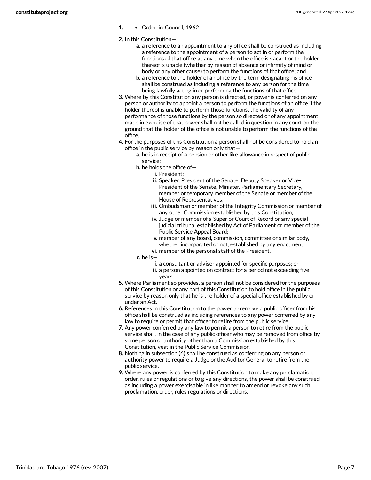- 1. Order-in-Council, 1962.
- **2.** In this Constitution
	- **a.** a reference to an appointment to any office shall be construed as including a reference to the appointment of a person to act in or perform the functions of that office at any time when the office is vacant or the holder thereof is unable (whether by reason of absence or infirmity of mind or body or any other cause) to perform the functions of that office; and
	- **b.** a reference to the holder of an office by the term designating his office shall be construed as including a reference to any person for the time being lawfully acting in or performing the functions of that office.
- **3.** Where by this Constitution any person is directed, or power is conferred on any person or authority to appoint a person to perform the functions of an office if the holder thereof is unable to perform those functions, the validity of any performance of those functions by the person so directed or of any appointment made in exercise of that power shall not be called in question in any court on the ground that the holder of the office is not unable to perform the functions of the office.
- **4.** For the purposes of this Constitution a person shall not be considered to hold an office in the public service by reason only that
	- **a.** he is in receipt of a pension or other like allowance in respect of public service;
	- **b.** he holds the office of
		- **i.** President;
		- **ii.** Speaker, President of the Senate, Deputy Speaker or Vice-President of the Senate, Minister, Parliamentary Secretary, member or temporary member of the Senate or member of the House of Representatives;
		- **iii.** Ombudsman or member of the Integrity Commission or member of any other Commission established by this Constitution;
		- **iv.** Judge or member of a Superior Court of Record or any special judicial tribunal established by Act of Parliament or member of the Public Service Appeal Board;
		- **v.** member of any board, commission, committee or similar body, whether incorporated or not, established by any enactment; **vi.** member of the personal staff of the President.
	- **c.** he is—

**i.** a consultant or adviser appointed for specific purposes; or

- **ii.** a person appointed on contract for a period not exceeding five years.
- **5.** Where Parliament so provides, a person shall not be considered for the purposes of this Constitution or any part of this Constitution to hold office in the public service by reason only that he is the holder of a special office established by or under an Act.
- **6.** References in this Constitution to the power to remove a public officer from his office shall be construed as including references to any power conferred by any law to require or permit that officer to retire from the public service.
- **7.** Any power conferred by any law to permit a person to retire from the public service shall, in the case of any public officer who may be removed from office by some person or authority other than a Commission established by this Constitution, vest in the Public Service Commission.
- **8.** Nothing in subsection (6) shall be construed as conferring on any person or authority power to require a Judge or the Auditor General to retire from the public service.
- **9.** Where any power is conferred by this Constitution to make any proclamation, order, rules or regulations or to give any directions, the power shall be construed as including a power exercisable in like manner to amend or revoke any such proclamation, order, rules regulations or directions.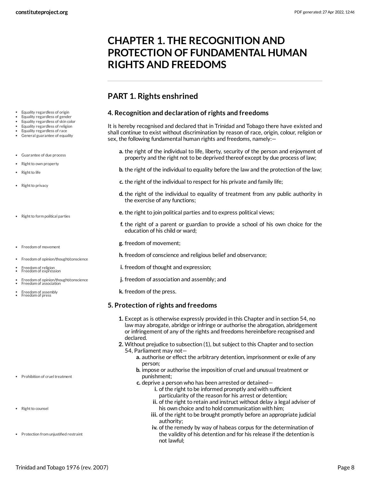# <span id="page-7-0"></span>**CHAPTER 1. THE RECOGNITION AND PROTECTION OF FUNDAMENTAL HUMAN RIGHTS AND FREEDOMS**

## <span id="page-7-1"></span>**PART 1. Rights enshrined**

#### <span id="page-7-2"></span>**4. Recognition and declaration of rights and freedoms**

<span id="page-7-3"></span>It is hereby recognised and declared that in Trinidad and Tobago there have existed and shall continue to exist without discrimination by reason of race, origin, colour, religion or sex, the following fundamental human rights and freedoms, namely:—

- **a.** the right of the individual to life, liberty, security of the person and enjoyment of property and the right not to be deprived thereof except by due process of law;
- **b.** the right of the individual to equality before the law and the protection of the law;
- **c.** the right of the individual to respect for his private and family life;
- **d.** the right of the individual to equality of treatment from any public authority in the exercise of any functions;
- **e.** the right to join political parties and to express political views;
- **f.** the right of a parent or guardian to provide a school of his own choice for the education of his child or ward;
- **g.** freedom of movement;
- **h.** freedom of conscience and religious belief and observance;
- **i.** freedom of thought and expression;
- **j.** freedom of association and assembly; and
- **k.** freedom of the press.

## <span id="page-7-4"></span>**5. Protection of rights and freedoms**

- **1.** Except as is otherwise expressly provided in this Chapter and in section 54, no law may abrogate, abridge or infringe or authorise the abrogation, abridgement or infringement of any of the rights and freedoms hereinbefore recognised and declared.
- **2.** Without prejudice to subsection (1), but subject to this Chapter and to section 54, Parliament may not
	- **a.** authorise or effect the arbitrary detention, imprisonment or exile of any person;
	- **b.** impose or authorise the imposition of cruel and unusual treatment or punishment;
	- **c.** deprive a person who has been arrested or detained
		- **i.** of the right to be informed promptly and with sufficient particularity of the reason for his arrest or detention;
		- **ii.** of the right to retain and instruct without delay a legal adviser of his own choice and to hold communication with him;
		- **iii.** of the right to be brought promptly before an appropriate judicial authority;
		- **iv.** of the remedy by way of habeas corpus for the determination of the validity of his detention and for his release if the detention is not lawful;
- Equality regardless of origin
- Equality regardless of gender Equality regardless of skin color
- Equality regardless of religion
- Equality regardless of race
- General guarantee of equality
- Guarantee of due process
- Right to own property
- Right to life
- Right to privacy
- Right to form political parties
- Freedom of movement
- Freedom of opinion/thought/conscience
- Freedom of religion Freedom of expression
- Freedom of opinion/thought/conscience Freedom of association
- Freedom of assembly Freedom of press

- Prohibition of cruel treatment
- Right to counsel
- Protection from unjustified restraint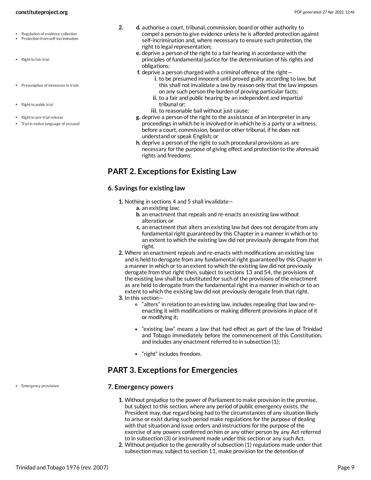- Regulation of evidence collection
- Protection from self-incrimination
- Right to fair trial
- Presumption of innocence in trials
- Right to public trial
- Right to pre-trial release
- Trial in native language of accused
- **2. d.** authorise a court, tribunal, commission, board or other authority to compel a person to give evidence unless he is afforded protection against self-incrimination and, where necessary to ensure such protection, the right to legal representation;
	- **e.** deprive a person of the right to a fair hearing in accordance with the principles of fundamental justice for the determination of his rights and obligations;
	- **f.** deprive a person charged with a criminal offence of the right
		- **i.** to be presumed innocent until proved guilty according to law, but this shall not invalidate a law by reason only that the law imposes on any such person the burden of proving particular facts;
		- **ii.** to a fair and public hearing by an independent and impartial tribunal or;
		- **iii.** to reasonable bail without just cause;
	- **g.** deprive a person of the right to the assistance of an interpreter in any proceedings in which he is involved or in which he is a party or a witness, before a court, commission, board or other tribunal, if he does not understand or speak English; or
	- **h.** deprive a person of the right to such procedural provisions as are necessary for the purpose of giving effect and protection to the aforesaid rights and freedoms.

## <span id="page-8-0"></span>**PART 2. Exceptions for Existing Law**

## **6. Savings for existing law**

- **1.** Nothing in sections 4 and 5 shall invalidate
	- **a.** an existing law;
	- **b.** an enactment that repeals and re-enacts an existing law without alteration; or
	- **c.** an enactment that alters an existing law but does not derogate from any fundamental right guaranteed by this Chapter in a manner in which or to an extent to which the existing law did not previously derogate from that right.
- **2.** Where an enactment repeals and re-enacts with modifications an existing law and is held to derogate from any fundamental right guaranteed by this Chapter in a manner in which or to an extent to which the existing law did not previously derogate from that right then, subject to sections 13 and 54, the provisions of the existing law shall be substituted for such of the provisions of the enactment as are held to derogate from the fundamental right in a manner in which or to an extent to which the existing law did not previously derogate from that right.
- **3.** In this section—
	- <sup>o</sup> "alters" in relation to an existing law, includes repealing that law and reenacting it with modifications or making different provisions in place of it or modifying it;
	- "existing law" means a law that had effect as part of the law of Trinidad and Tobago immediately before the commencement of this Constitution, and includes any enactment referred to in subsection (1);
	- "right" includes freedom.

## <span id="page-8-1"></span>**PART 3. Exceptions for Emergencies**

• Emergency provisions

- <span id="page-8-2"></span>**7. Emergency powers**
	- **1.** Without prejudice to the power of Parliament to make provision in the premise, but subject to this section, where any period of public emergency exists, the President may, due regard being had to the circumstances of any situation likely to arise or exist during such period make regulations for the purpose of dealing with that situation and issue orders and instructions for the purpose of the exercise of any powers conferred on him or any other person by any Act referred to in subsection (3) or instrument made under this section or any such Act.
	- **2.** Without prejudice to the generality of subsection (1) regulations made under that subsection may, subject to section 11, make provision for the detention of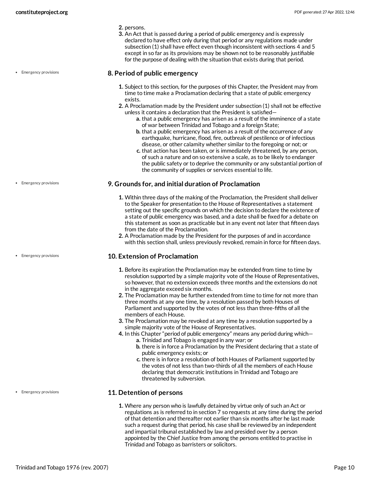• Emergency provisions

- **2.** persons.
- **3.** An Act that is passed during a period of public emergency and is expressly declared to have effect only during that period or any regulations made under subsection (1) shall have effect even though inconsistent with sections 4 and 5 except in so far as its provisions may be shown not to be reasonably justifiable for the purpose of dealing with the situation that exists during that period.

#### <span id="page-9-0"></span>**8. Period of public emergency**

- **1.** Subject to this section, for the purposes of this Chapter, the President may from time to time make a Proclamation declaring that a state of public emergency exists.
- **2.** A Proclamation made by the President under subsection (1) shall not be effective unless it contains a declaration that the President is satisfied
	- **a.** that a public emergency has arisen as a result of the imminence of a state of war between Trinidad and Tobago and a foreign State;
	- **b.** that a public emergency has arisen as a result of the occurrence of any earthquake, hurricane, flood, fire, outbreak of pestilence or of infectious disease, or other calamity whether similar to the foregoing or not; or
	- **c.** that action has been taken, or is immediately threatened, by any person, of such a nature and on so extensive a scale, as to be likely to endanger the public safety or to deprive the community or any substantial portion of the community of supplies or services essential to life.

#### **9. Grounds for, and initial duration of Proclamation**

- **1.** Within three days of the making of the Proclamation, the President shall deliver to the Speaker for presentation to the House of Representatives a statement setting out the specific grounds on which the decision to declare the existence of a state of public emergency was based, and a date shall be fixed for a debate on this statement as soon as practicable but in any event not later that fifteen days from the date of the Proclamation.
- **2.** A Proclamation made by the President for the purposes of and in accordance with this section shall, unless previously revoked, remain in force for fifteen days.

#### **10. Extension of Proclamation**

- **1.** Before its expiration the Proclamation may be extended from time to time by resolution supported by a simple majority vote of the House of Representatives, so however, that no extension exceeds three months and the extensions do not in the aggregate exceed six months.
- **2.** The Proclamation may be further extended from time to time for not more than three months at any one time, by a resolution passed by both Houses of Parliament and supported by the votes of not less than three-fifths of all the members of each House.
- **3.** The Proclamation may be revoked at any time by a resolution supported by a simple majority vote of the House of Representatives.
- **4.** In this Chapter "period of public emergency" means any period during which
	- **a.** Trinidad and Tobago is engaged in any war; or
	- **b.** there is in force a Proclamation by the President declaring that a state of public emergency exists; or
	- **c.** there is in force a resolution of both Houses of Parliament supported by the votes of not less than two-thirds of all the members of each House declaring that democratic institutions in Trinidad and Tobago are threatened by subversion.

#### **11. Detention of persons**

**1.** Where any person who is lawfully detained by virtue only of such an Act or regulations as is referred to in section 7 so requests at any time during the period of that detention and thereafter not earlier than six months after he last made such a request during that period, his case shall be reviewed by an independent and impartial tribunal established by law and presided over by a person appointed by the Chief Justice from among the persons entitled to practise in Trinidad and Tobago as barristers or solicitors.

• Emergency provisions

• Emergency provisions

• Emergency provisions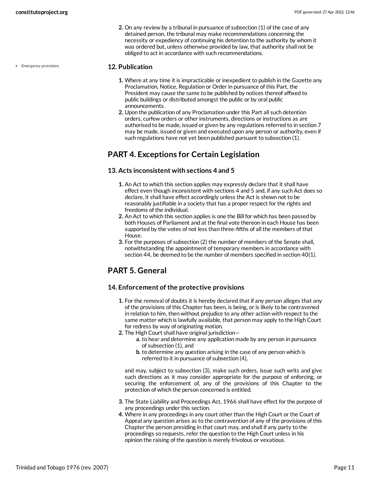**2.** On any review by a tribunal in pursuance of subsection (1) of the case of any detained person, the tribunal may make recommendations concerning the necessity or expediency of continuing his detention to the authority by whom it was ordered but, unless otherwise provided by law, that authority shall not be obliged to act in accordance with such recommendations.

• Emergency provisions

#### <span id="page-10-2"></span>**12. Publication**

- **1.** Where at any time it is impracticable or inexpedient to publish in the Gazette any Proclamation, Notice, Regulation or Order in pursuance of this Part, the President may cause the same to be published by notices thereof affixed to public buildings or distributed amongst the public or by oral public announcements.
- **2.** Upon the publication of any Proclamation under this Part all such detention orders, curfew orders or other instruments, directions or instructions as are authorised to be made, issued or given by any regulations referred to in section 7 may be made, issued or given and executed upon any person or authority, even if such regulations have not yet been published pursuant to subsection (1).

## <span id="page-10-0"></span>**PART 4. Exceptions for Certain Legislation**

#### **13. Acts inconsistent with sections 4 and 5**

- **1.** An Act to which this section applies may expressly declare that it shall have effect even though inconsistent with sections 4 and 5 and, if any such Act does so declare, it shall have effect accordingly unless the Act is shown not to be reasonably justifiable in a society that has a proper respect for the rights and freedoms of the individual.
- **2.** An Act to which this section applies is one the Bill for which has been passed by both Houses of Parliament and at the final vote thereon in each House has been supported by the votes of not less than three-fifths of all the members of that House.
- **3.** For the purposes of subsection (2) the number of members of the Senate shall, notwithstanding the appointment of temporary members in accordance with section 44, be deemed to be the number of members specified in section 40(1).

## <span id="page-10-1"></span>**PART 5. General**

## **14. Enforcement of the protective provisions**

- **1.** For the removal of doubts it is hereby declared that if any person alleges that any of the provisions of this Chapter has been, is being, or is likely to be contravened in relation to him, then without prejudice to any other action with respect to the same matter which is lawfully available, that person may apply to the High Court for redress by way of originating motion.
- **2.** The High Court shall have original jurisdiction
	- **a.** to hear and determine any application made by any person in pursuance of subsection (1), and
	- **b.** to determine any question arising in the case of any person which is referred to it in pursuance of subsection (4),

and may, subject to subsection (3), make such orders, issue such writs and give such directions as it may consider appropriate for the purpose of enforcing, or securing the enforcement of, any of the provisions of this Chapter to the protection of which the person concerned is entitled.

- **3.** The State Liability and Proceedings Act, 1966 shall have effect for the purpose of any proceedings under this section.
- **4.** Where in any proceedings in any court other than the High Court or the Court of Appeal any question arises as to the contravention of any of the provisions of this Chapter the person presiding in that court may, and shall if any party to the proceedings so requests, refer the question to the High Court unless in his opinion the raising of the question is merely frivolous or vexatious.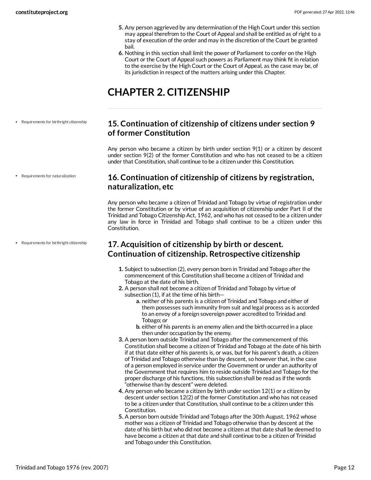- **5.** Any person aggrieved by any determination of the High Court under this section may appeal therefrom to the Court of Appeal and shall be entitled as of right to a stay of execution of the order and may in the discretion of the Court be granted bail.
- **6.** Nothing in this section shall limit the power of Parliament to confer on the High Court or the Court of Appeal such powers as Parliament may think fit in relation to the exercise by the High Court or the Court of Appeal, as the case may be, of its jurisdiction in respect of the matters arising under this Chapter.

# <span id="page-11-0"></span>**CHAPTER 2. CITIZENSHIP**

Requirements for birthright citizenship

## <span id="page-11-1"></span>**15. Continuation of citizenship of citizens under section 9 of former Constitution**

Any person who became a citizen by birth under section 9(1) or a citizen by descent under section 9(2) of the former Constitution and who has not ceased to be a citizen under that Constitution, shall continue to be a citizen under this Constitution.

#### Requirements for naturalization

Requirements for birthright citizenship

## <span id="page-11-2"></span>**16. Continuation of citizenship of citizens by registration, naturalization, etc**

Any person who became a citizen of Trinidad and Tobago by virtue of registration under the former Constitution or by virtue of an acquisition of citizenship under Part II of the Trinidad and Tobago Citizenship Act, 1962, and who has not ceased to be a citizen under any law in force in Trinidad and Tobago shall continue to be a citizen under this Constitution.

## <span id="page-11-3"></span>**17. Acquisition of citizenship by birth or descent. Continuation of citizenship. Retrospective citizenship**

- **1.** Subject to subsection (2), every person born in Trinidad and Tobago after the commencement of this Constitution shall become a citizen of Trinidad and Tobago at the date of his birth.
- **2.** A person shall not become a citizen of Trinidad and Tobago by virtue of subsection (1), if at the time of his birth
	- **a.** neither of his parents is a citizen of Trinidad and Tobago and either of them possesses such immunity from suit and legal process as is accorded to an envoy of a foreign sovereign power accredited to Trinidad and Tobago; or
	- **b.** either of his parents is an enemy alien and the birth occurred in a place then under occupation by the enemy.
- **3.** A person born outside Trinidad and Tobago after the commencement of this Constitution shall become a citizen of Trinidad and Tobago at the date of his birth if at that date either of his parents is, or was, but for his parent's death, a citizen of Trinidad and Tobago otherwise than by descent, so however that, in the case of a person employed in service under the Government or under an authority of the Government that requires him to reside outside Trinidad and Tobago for the proper discharge of his functions, this subsection shall be read as if the words "otherwise than by descent" were deleted.
- **4.** Any person who became a citizen by birth under section 12(1) or a citizen by descent under section 12(2) of the former Constitution and who has not ceased to be a citizen under that Constitution, shall continue to be a citizen under this Constitution.
- **5.** A person born outside Trinidad and Tobago after the 30th August, 1962 whose mother was a citizen of Trinidad and Tobago otherwise than by descent at the date of his birth but who did not become a citizen at that date shall be deemed to have become a citizen at that date and shall continue to be a citizen of Trinidad and Tobago under this Constitution.

Trinidad and Tobago 1976 (rev. 2007) Page 12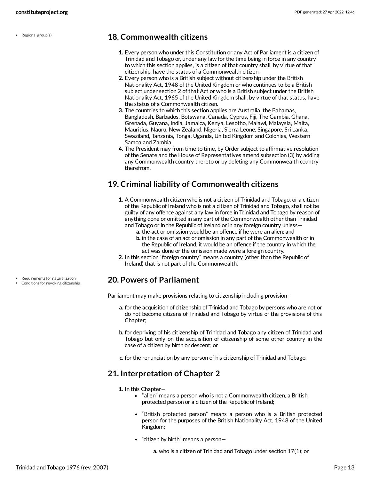• Regional group(s)

## <span id="page-12-0"></span>**18. Commonwealth citizens**

- **1.** Every person who under this Constitution or any Act of Parliament is a citizen of Trinidad and Tobago or, under any law for the time being in force in any country to which this section applies, is a citizen of that country shall, by virtue of that citizenship, have the status of a Commonwealth citizen.
- **2.** Every person who is a British subject without citizenship under the British Nationality Act, 1948 of the United Kingdom or who continues to be a British subject under section 2 of that Act or who is a British subject under the British Nationality Act, 1965 of the United Kingdom shall, by virtue of that status, have the status of a Commonwealth citizen.
- **3.** The countries to which this section applies are Australia, the Bahamas, Bangladesh, Barbados, Botswana, Canada, Cyprus, Fiji, The Gambia, Ghana, Grenada, Guyana, India, Jamaica, Kenya, Lesotho, Malawi, Malaysia, Malta, Mauritius, Nauru, New Zealand, Nigeria, Sierra Leone, Singapore, Sri Lanka, Swaziland, Tanzania, Tonga, Uganda, United Kingdom and Colonies, Western Samoa and Zambia.
- **4.** The President may from time to time, by Order subject to affirmative resolution of the Senate and the House of Representatives amend subsection (3) by adding any Commonwealth country thereto or by deleting any Commonwealth country therefrom.

## <span id="page-12-1"></span>**19. Criminal liability of Commonwealth citizens**

- **1.** A Commonwealth citizen who is not a citizen of Trinidad and Tobago, or a citizen of the Republic of Ireland who is not a citizen of Trinidad and Tobago, shall not be guilty of any offence against any law in force in Trinidad and Tobago by reason of anything done or omitted in any part of the Commonwealth other than Trinidad and Tobago or in the Republic of Ireland or in any foreign country unless
	- **a.** the act or omission would be an offence if he were an alien; and
	- **b.** in the case of an act or omission in any part of the Commonwealth or in the Republic of Ireland, it would be an offence if the country in which the act was done or the omission made were a foreign country.
- **2.** In this section "foreign country" means a country (other than the Republic of Ireland) that is not part of the Commonwealth.

## <span id="page-12-2"></span>**20. Powers of Parliament**

Parliament may make provisions relating to citizenship including provision—

- **a.** for the acquisition of citizenship of Trinidad and Tobago by persons who are not or do not become citizens of Trinidad and Tobago by virtue of the provisions of this Chapter;
- **b.** for depriving of his citizenship of Trinidad and Tobago any citizen of Trinidad and Tobago but only on the acquisition of citizenship of some other country in the case of a citizen by birth or descent; or
- **c.** for the renunciation by any person of his citizenship of Trinidad and Tobago.

## <span id="page-12-3"></span>**21. Interpretation of Chapter 2**

- **1.** In this Chapter—
	- "alien" means a person who is not a Commonwealth citizen, a British protected person or a citizen of the Republic of Ireland;
	- "British protected person" means a person who is a British protected person for the purposes of the British Nationality Act, 1948 of the United Kingdom;
	- "citizen by birth" means a person—

**a.** who is a citizen of Trinidad and Tobago under section 17(1); or

- Requirements for naturalization
- Conditions for revoking citizenship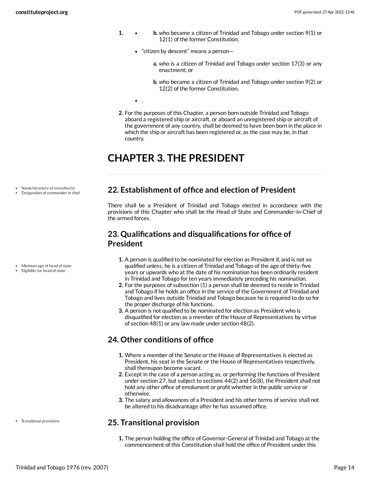- **1. b.** who became a citizen of Trinidad and Tobago under section 9(1) or 12(1) of the former Constitution;
	- "citizen by descent" means a person
		- **a.** who is a citizen of Trinidad and Tobago under section 17(3) or any enactment; or
		- **b.** who became a citizen of Trinidad and Tobago under section 9(2) or 12(2) of the former Constitution.
- **2.** For the purposes of this Chapter, a person born outside Trinidad and Tobago aboard a registered ship or aircraft, or aboard an unregistered ship or aircraft of the government of any country, shall be deemed to have been born in the place in which the ship or aircraft has been registered or, as the case may be, in that country.

# <span id="page-13-0"></span>**CHAPTER 3. THE PRESIDENT**

.

- Name/structure of executive(s)
- Designation of commander in chief

# <span id="page-13-1"></span>**22. Establishment of office and election of President**

There shall be a President of Trinidad and Tobago elected in accordance with the provisions of this Chapter who shall be the Head of State and Commander-in-Chief of the armed forces.

## <span id="page-13-2"></span>**23. Qualifications and disqualifications for office of President**

- **1.** A person is qualified to be nominated for election as President if, and is not so qualified unless, he is a citizen of Trinidad and Tobago of the age of thirty-five years or upwards who at the date of his nomination has been ordinarily resident in Trinidad and Tobago for ten years immediately preceding his nomination.
- **2.** For the purposes of subsection (1) a person shall be deemed to reside in Trinidad and Tobago if he holds an office in the service of the Government of Trinidad and Tobago and lives outside Trinidad and Tobago because he is required to do so for the proper discharge of his functions.
- **3.** A person is not qualified to be nominated for election as President who is disqualified for election as a member of the House of Representatives by virtue of section 48(1) or any law made under section 48(2).

## <span id="page-13-3"></span>**24. Other conditions of office**

- **1.** Where a member of the Senate or the House of Representatives is elected as President, his seat in the Senate or the House of Representatives respectively, shall thereupon become vacant.
- **2.** Except in the case of a person acting as, or performing the functions of President under section 27, but subject to sections 44(2) and 56(8), the President shall not hold any other office of emolument or profit whether in the public service or otherwise.
- **3.** The salary and allowances of a President and his other terms of service shall not be altered to his disadvantage after he has assumed office.

## <span id="page-13-4"></span>**25. Transitional provision**

**1.** The person holding the office of Governor-General of Trinidad and Tobago at the commencement of this Constitution shall hold the office of President under this

#### Minimum age of head of state

Eligibility for head of state

Transitional provisions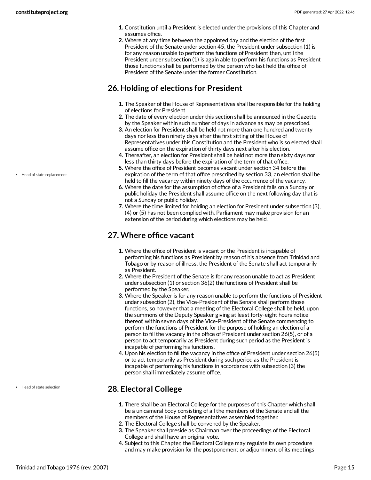- **1.** Constitution until a President is elected under the provisions of this Chapter and assumes office.
- **2.** Where at any time between the appointed day and the election of the first President of the Senate under section 45, the President under subsection (1) is for any reason unable to perform the functions of President then, until the President under subsection (1) is again able to perform his functions as President those functions shall be performed by the person who last held the office of President of the Senate under the former Constitution.

## <span id="page-14-0"></span>**26. Holding of elections for President**

- **1.** The Speaker of the House of Representatives shall be responsible for the holding of elections for President.
- **2.** The date of every election under this section shall be announced in the Gazette by the Speaker within such number of days in advance as may be prescribed.
- **3.** An election for President shall be held not more than one hundred and twenty days nor less than ninety days after the first sitting of the House of Representatives under this Constitution and the President who is so elected shall assume office on the expiration of thirty days next after his election.
- **4.** Thereafter, an election for President shall be held not more than sixty days nor less than thirty days before the expiration of the term of that office.
- **5.** Where the office of President becomes vacant under section 34 before the expiration of the term of that office prescribed by section 33, an election shall be held to fill the vacancy within ninety days of the occurrence of the vacancy.
- **6.** Where the date for the assumption of office of a President falls on a Sunday or public holiday the President shall assume office on the next following day that is not a Sunday or public holiday.
- **7.** Where the time limited for holding an election for President under subsection (3), (4) or (5) has not been complied with, Parliament may make provision for an extension of the period during which elections may be held.

## <span id="page-14-1"></span>**27. Where office vacant**

- **1.** Where the office of President is vacant or the President is incapable of performing his functions as President by reason of his absence from Trinidad and Tobago or by reason of illness, the President of the Senate shall act temporarily as President.
- **2.** Where the President of the Senate is for any reason unable to act as President under subsection (1) or section 36(2) the functions of President shall be performed by the Speaker.
- **3.** Where the Speaker is for any reason unable to perform the functions of President under subsection (2), the Vice-President of the Senate shall perform those functions, so however that a meeting of the Electoral College shall be held, upon the summons of the Deputy Speaker giving at least forty-eight hours notice thereof, within seven days of the Vice-President of the Senate commencing to perform the functions of President for the purpose of holding an election of a person to fill the vacancy in the office of President under section 26(5), or of a person to act temporarily as President during such period as the President is incapable of performing his functions.
- **4.** Upon his election to fill the vacancy in the office of President under section 26(5) or to act temporarily as President during such period as the President is incapable of performing his functions in accordance with subsection (3) the person shall immediately assume office.

## <span id="page-14-2"></span>**28. Electoral College**

- **1.** There shall be an Electoral College for the purposes of this Chapter which shall be a unicameral body consisting of all the members of the Senate and all the members of the House of Representatives assembled together.
- **2.** The Electoral College shall be convened by the Speaker.
- **3.** The Speaker shall preside as Chairman over the proceedings of the Electoral College and shall have an original vote.
- **4.** Subject to this Chapter, the Electoral College may regulate its own procedure and may make provision for the postponement or adjournment of its meetings

Head of state replacement

• Head of state selection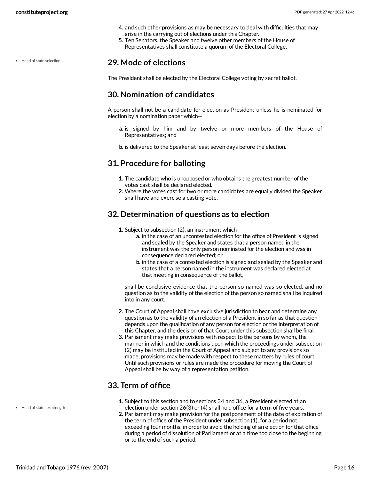- **4.** and such other provisions as may be necessary to deal with difficulties that may arise in the carrying out of elections under this Chapter.
- **5.** Ten Senators, the Speaker and twelve other members of the House of Representatives shall constitute a quorum of the Electoral College.

#### Head of state selection

## <span id="page-15-0"></span>**29. Mode of elections**

The President shall be elected by the Electoral College voting by secret ballot.

## <span id="page-15-1"></span>**30. Nomination of candidates**

A person shall not be a candidate for election as President unless he is nominated for election by a nomination paper which—

- **a.** is signed by him and by twelve or more members of the House of Representatives; and
- **b.** is delivered to the Speaker at least seven days before the election.

## <span id="page-15-2"></span>**31. Procedure for balloting**

- **1.** The candidate who is unopposed or who obtains the greatest number of the votes cast shall be declared elected.
- **2.** Where the votes cast for two or more candidates are equally divided the Speaker shall have and exercise a casting vote.

## <span id="page-15-3"></span>**32. Determination of questions as to election**

- **1.** Subject to subsection (2), an instrument which
	- **a.** in the case of an uncontested election for the office of President is signed and sealed by the Speaker and states that a person named in the instrument was the only person nominated for the election and was in consequence declared elected; or
	- **b.** in the case of a contested election is signed and sealed by the Speaker and states that a person named in the instrument was declared elected at that meeting in consequence of the ballot,

shall be conclusive evidence that the person so named was so elected, and no question as to the validity of the election of the person so named shall be inquired into in any court.

- **2.** The Court of Appeal shall have exclusive jurisdiction to hear and determine any question as to the validity of an election of a President in so far as that question depends upon the qualification of any person for election or the interpretation of this Chapter, and the decision of that Court under this subsection shall be final.
- **3.** Parliament may make provisions with respect to the persons by whom, the manner in which and the conditions upon which the proceedings under subsection (2) may be instituted in the Court of Appeal and subject to any provisions so made, provisions may be made with respect to these matters by rules of court. Until such provisions or rules are made the procedure for moving the Court of Appeal shall be by way of a representation petition.

## <span id="page-15-4"></span>**33. Term of office**

- **1.** Subject to this section and to sections 34 and 36, a President elected at an election under section 26(3) or (4) shall hold office for a term of five years.
- **2.** Parliament may make provision for the postponement of the date of expiration of the term of office of the President under subsection (1), for a period not exceeding four months, in order to avoid the holding of an election for that office during a period of dissolution of Parliament or at a time too close to the beginning or to the end of such a period.

Head of state term length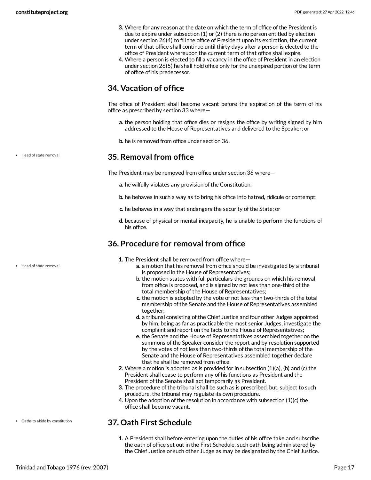- **3.** Where for any reason at the date on which the term of office of the President is due to expire under subsection (1) or (2) there is no person entitled by election under section 26(4) to fill the office of President upon its expiration, the current term of that office shall continue until thirty days after a person is elected to the office of President whereupon the current term of that office shall expire.
- **4.** Where a person is elected to fill a vacancy in the office of President in an election under section 26(5) he shall hold office only for the unexpired portion of the term of office of his predecessor.

## <span id="page-16-0"></span>**34. Vacation of office**

The office of President shall become vacant before the expiration of the term of his office as prescribed by section 33 where—

**a.** the person holding that office dies or resigns the office by writing signed by him addressed to the House of Representatives and delivered to the Speaker; or

**b.** he is removed from office under section 36.

## <span id="page-16-1"></span>**35. Removal from office**

The President may be removed from office under section 36 where—

**a.** he wilfully violates any provision of the Constitution;

- **b.** he behaves in such a way as to bring his office into hatred, ridicule or contempt;
- **c.** he behaves in a way that endangers the security of the State; or
- **d.** because of physical or mental incapacity, he is unable to perform the functions of his office.

## <span id="page-16-2"></span>**36. Procedure for removal from office**

- **1.** The President shall be removed from office where
	- **a.** a motion that his removal from office should be investigated by a tribunal is proposed in the House of Representatives;
	- **b.** the motion states with full particulars the grounds on which his removal from office is proposed, and is signed by not less than one-third of the total membership of the House of Representatives;
	- **c.** the motion is adopted by the vote of not less than two-thirds of the total membership of the Senate and the House of Representatives assembled together;
	- **d.** a tribunal consisting of the Chief Justice and four other Judges appointed by him, being as far as practicable the most senior Judges, investigate the complaint and report on the facts to the House of Representatives;
	- **e.** the Senate and the House of Representatives assembled together on the summons of the Speaker consider the report and by resolution supported by the votes of not less than two-thirds of the total membership of the Senate and the House of Representatives assembled together declare that he shall be removed from office.
- **2.** Where a motion is adopted as is provided for in subsection (1)(a), (b) and (c) the President shall cease to perform any of his functions as President and the President of the Senate shall act temporarily as President.
- **3.** The procedure of the tribunal shall be such as is prescribed, but, subject to such procedure, the tribunal may regulate its own procedure.
- **4.** Upon the adoption of the resolution in accordance with subsection (1)(c) the office shall become vacant.

## <span id="page-16-3"></span>**37. Oath First Schedule**

**1.** A President shall before entering upon the duties of his office take and subscribe the oath of office set out in the First Schedule, such oath being administered by the Chief Justice or such other Judge as may be designated by the Chief Justice.

• Head of state removal

Head of state removal

Oaths to abide by constitution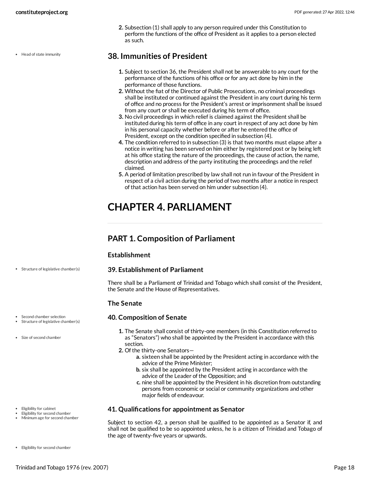• Head of state immunity

**2.** Subsection (1) shall apply to any person required under this Constitution to perform the functions of the office of President as it applies to a person elected as such.

## <span id="page-17-0"></span>**38. Immunities of President**

- **1.** Subject to section 36, the President shall not be answerable to any court for the performance of the functions of his office or for any act done by him in the performance of those functions.
- **2.** Without the fiat of the Director of Public Prosecutions, no criminal proceedings shall be instituted or continued against the President in any court during his term of office and no process for the President's arrest or imprisonment shall be issued from any court or shall be executed during his term of office.
- **3.** No civil proceedings in which relief is claimed against the President shall be instituted during his term of office in any court in respect of any act done by him in his personal capacity whether before or after he entered the office of President, except on the condition specified in subsection (4).
- **4.** The condition referred to in subsection (3) is that two months must elapse after a notice in writing has been served on him either by registered post or by being left at his office stating the nature of the proceedings, the cause of action, the name, description and address of the party instituting the proceedings and the relief claimed.
- **5.** A period of limitation prescribed by law shall not run in favour of the President in respect of a civil action during the period of two months after a notice in respect of that action has been served on him under subsection (4).

# <span id="page-17-1"></span>**CHAPTER 4. PARLIAMENT**

## <span id="page-17-2"></span>**PART 1. Composition of Parliament**

## **Establishment**

• Structure of legislative chamber(s)

## <span id="page-17-5"></span>**39. Establishment of Parliament**

There shall be a Parliament of Trinidad and Tobago which shall consist of the President, the Senate and the House of Representatives.

## **The Senate**

## <span id="page-17-4"></span>**40. Composition of Senate**

- **1.** The Senate shall consist of thirty-one members (in this Constitution referred to as "Senators") who shall be appointed by the President in accordance with this section.
- **2.** Of the thirty-one Senators
	- **a.** sixteen shall be appointed by the President acting in accordance with the advice of the Prime Minister;
	- **b.** six shall be appointed by the President acting in accordance with the advice of the Leader of the Opposition; and
	- **c.** nine shall be appointed by the President in his discretion from outstanding persons from economic or social or community organizations and other major fields of endeavour.

## <span id="page-17-3"></span>**41. Qualifications for appointment as Senator**

Subject to section 42, a person shall be qualified to be appointed as a Senator if, and shall not be qualified to be so appointed unless, he is a citizen of Trinidad and Tobago of the age of twenty-five years or upwards.

Eligibility for second chamber

Eligibility for cabinet Eligibility for second chamber Minimum age for second chamber

- Second chamber selection
- Structure of legislative chamber(s)
- Size of second chamber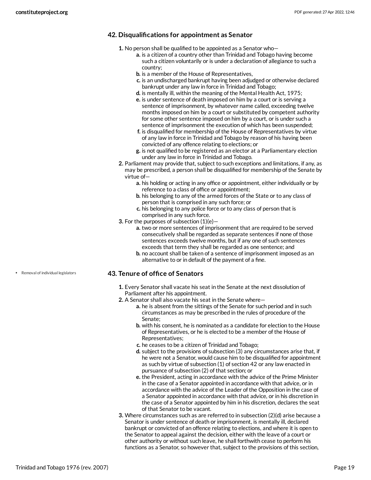## **42. Disqualifications for appointment as Senator**

- **1.** No person shall be qualified to be appointed as a Senator who
	- **a.** is a citizen of a country other than Trinidad and Tobago having become such a citizen voluntarily or is under a declaration of allegiance to such a country;
	- **b.** is a member of the House of Representatives,
	- **c.** is an undischarged bankrupt having been adjudged or otherwise declared bankrupt under any law in force in Trinidad and Tobago;
	- **d.** is mentally ill, within the meaning of the Mental Health Act, 1975;
	- **e.** is under sentence of death imposed on him by a court or is serving a sentence of imprisonment, by whatever name called, exceeding twelve months imposed on him by a court or substituted by competent authority for some other sentence imposed on him by a court, or is under such a sentence of imprisonment the execution of which has been suspended;
	- **f.** is disqualified for membership of the House of Representatives by virtue of any law in force in Trinidad and Tobago by reason of his having been convicted of any offence relating to elections; or
	- **g.** is not qualified to be registered as an elector at a Parliamentary election under any law in force in Trinidad and Tobago.
- **2.** Parliament may provide that, subject to such exceptions and limitations, if any, as may be prescribed, a person shall be disqualified for membership of the Senate by virtue of
	- **a.** his holding or acting in any office or appointment, either individually or by reference to a class of office or appointment;
	- **b.** his belonging to any of the armed forces of the State or to any class of person that is comprised in any such force; or
	- **c.** his belonging to any police force or to any class of person that is comprised in any such force.
- **3.** For the purposes of subsection (1)(e)
	- **a.** two or more sentences of imprisonment that are required to be served consecutively shall be regarded as separate sentences if none of those sentences exceeds twelve months, but if any one of such sentences exceeds that term they shall be regarded as one sentence; and
	- **b.** no account shall be taken of a sentence of imprisonment imposed as an alternative to or in default of the payment of a fine.

## <span id="page-18-0"></span>**43. Tenure of office of Senators**

- **1.** Every Senator shall vacate his seat in the Senate at the next dissolution of Parliament after his appointment.
- **2.** A Senator shall also vacate his seat in the Senate where
	- **a.** he is absent from the sittings of the Senate for such period and in such circumstances as may be prescribed in the rules of procedure of the Senate;
	- **b.** with his consent, he is nominated as a candidate for election to the House of Representatives, or he is elected to be a member of the House of Representatives;
	- **c.** he ceases to be a citizen of Trinidad and Tobago;
	- **d.** subject to the provisions of subsection (3) any circumstances arise that, if he were not a Senator, would cause him to be disqualified for appointment as such by virtue of subsection (1) of section 42 or any law enacted in pursuance of subsection (2) of that section; or
	- **e.** the President, acting in accordance with the advice of the Prime Minister in the case of a Senator appointed in accordance with that advice, or in accordance with the advice of the Leader of the Opposition in the case of a Senator appointed in accordance with that advice, or in his discretion in the case of a Senator appointed by him in his discretion, declares the seat of that Senator to be vacant.
- **3.** Where circumstances such as are referred to in subsection (2)(d) arise because a Senator is under sentence of death or imprisonment, is mentally ill, declared bankrupt or convicted of an offence relating to elections, and where it is open to the Senator to appeal against the decision, either with the leave of a court or other authority or without such leave, he shall forthwith cease to perform his functions as a Senator, so however that, subject to the provisions of this section,

Removal of individual legislators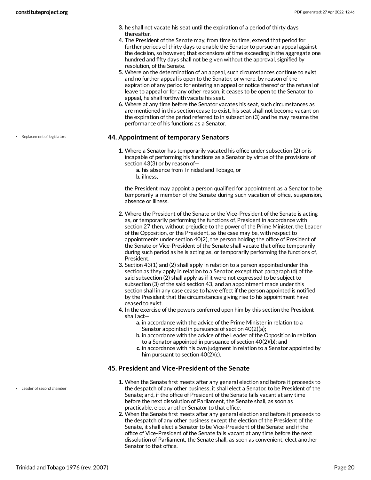- **3.** he shall not vacate his seat until the expiration of a period of thirty days thereafter.
- **4.** The President of the Senate may, from time to time, extend that period for further periods of thirty days to enable the Senator to pursue an appeal against the decision, so however, that extensions of time exceeding in the aggregate one hundred and fifty days shall not be given without the approval, signified by resolution, of the Senate.
- **5.** Where on the determination of an appeal, such circumstances continue to exist and no further appeal is open to the Senator, or where, by reason of the expiration of any period for entering an appeal or notice thereof or the refusal of leave to appeal or for any other reason, it ceases to be open to the Senator to appeal, he shall forthwith vacate his seat.
- **6.** Where at any time before the Senator vacates his seat, such circumstances as are mentioned in this section cease to exist, his seat shall not become vacant on the expiration of the period referred to in subsection (3) and he may resume the performance of his functions as a Senator.

#### <span id="page-19-1"></span>**44. Appointment of temporary Senators**

- **1.** Where a Senator has temporarily vacated his office under subsection (2) or is incapable of performing his functions as a Senator by virtue of the provisions of section 43(3) or by reason of
	- **a.** his absence from Trinidad and Tobago, or **b.** illness,

the President may appoint a person qualified for appointment as a Senator to be temporarily a member of the Senate during such vacation of office, suspension, absence or illness.

- **2.** Where the President of the Senate or the Vice-President of the Senate is acting as, or temporarily performing the functions of, President in accordance with section 27 then, without prejudice to the power of the Prime Minister, the Leader of the Opposition, or the President, as the case may be, with respect to appointments under section 40(2), the person holding the office of President of the Senate or Vice-President of the Senate shall vacate that office temporarily during such period as he is acting as, or temporarily performing the functions of, President.
- **3.** Section 43(1) and (2) shall apply in relation to a person appointed under this section as they apply in relation to a Senator, except that paragraph (d) of the said subsection (2) shall apply as if it were not expressed to be subject to subsection (3) of the said section 43, and an appointment made under this section shall in any case cease to have effect if the person appointed is notified by the President that the circumstances giving rise to his appointment have ceased to exist.
- **4.** In the exercise of the powers conferred upon him by this section the President shall act
	- **a.** in accordance with the advice of the Prime Minister in relation to a Senator appointed in pursuance of section 40(2)(a);
	- **b.** in accordance with the advice of the Leader of the Opposition in relation to a Senator appointed in pursuance of section 40(2)(b); and
	- **c.** in accordance with his own judgment in relation to a Senator appointed by him pursuant to section 40(2)(c).

## <span id="page-19-0"></span>**45. President and Vice-President of the Senate**

- **1.** When the Senate first meets after any general election and before it proceeds to the despatch of any other business, it shall elect a Senator, to be President of the Senate; and, if the office of President of the Senate falls vacant at any time before the next dissolution of Parliament, the Senate shall, as soon as practicable, elect another Senator to that office.
- **2.** When the Senate first meets after any general election and before it proceeds to the despatch of any other business except the election of the President of the Senate, it shall elect a Senator to be Vice-President of the Senate; and if the office of Vice-President of the Senate falls vacant at any time before the next dissolution of Parliament, the Senate shall, as soon as convenient, elect another Senator to that office.

Replacement of legislators

Leader of second chamber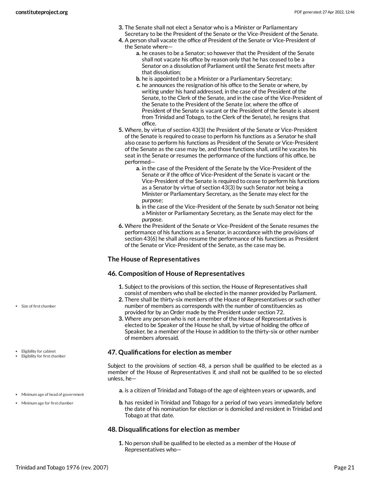- **3.** The Senate shall not elect a Senator who is a Minister or Parliamentary Secretary to be the President of the Senate or the Vice-President of the Senate.
- **4.** A person shall vacate the office of President of the Senate or Vice-President of the Senate where
	- **a.** he ceases to be a Senator; so however that the President of the Senate shall not vacate his office by reason only that he has ceased to be a Senator on a dissolution of Parliament until the Senate first meets after that dissolution;
	- **b.** he is appointed to be a Minister or a Parliamentary Secretary;
	- **c.** he announces the resignation of his office to the Senate or where, by writing under his hand addressed, in the case of the President of the Senate, to the Clerk of the Senate, and in the case of the Vice-President of the Senate to the President of the Senate (or, where the office of President of the Senate is vacant or the President of the Senate is absent from Trinidad and Tobago, to the Clerk of the Senate), he resigns that office.
- **5.** Where, by virtue of section 43(3) the President of the Senate or Vice-President of the Senate is required to cease to perform his functions as a Senator he shall also cease to perform his functions as President of the Senate or Vice-President of the Senate as the case may be, and those functions shall, until he vacates his seat in the Senate or resumes the performance of the functions of his office, be performed
	- **a.** in the case of the President of the Senate by the Vice-President of the Senate or if the office of Vice-President of the Senate is vacant or the Vice-President of the Senate is required to cease to perform his functions as a Senator by virtue of section 43(3) by such Senator not being a Minister or Parliamentary Secretary, as the Senate may elect for the purpose;
	- **b.** in the case of the Vice-President of the Senate by such Senator not being a Minister or Parliamentary Secretary, as the Senate may elect for the purpose.
- **6.** Where the President of the Senate or Vice-President of the Senate resumes the performance of his functions as a Senator, in accordance with the provisions of section 43(6) he shall also resume the performance of his functions as President of the Senate or Vice-President of the Senate, as the case may be.

## **The House of Representatives**

## <span id="page-20-3"></span>**46. Composition of House of Representatives**

- **1.** Subject to the provisions of this section, the House of Representatives shall consist of members who shall be elected in the manner provided by Parliament.
- **2.** There shall be thirty-six members of the House of Representatives or such other number of members as corresponds with the number of constituencies as provided for by an Order made by the President under section 72.
- **3.** Where any person who is not a member of the House of Representatives is elected to be Speaker of the House he shall, by virtue of holding the office of Speaker, be a member of the House in addition to the thirty-six or other number of members aforesaid.

## <span id="page-20-0"></span>**47. Qualifications for election as member**

<span id="page-20-1"></span>Subject to the provisions of section 48, a person shall be qualified to be elected as a member of the House of Representatives if, and shall not be qualified to be so elected unless, he—

- **a.** is a citizen of Trinidad and Tobago of the age of eighteen years or upwards, and
- **b.** has resided in Trinidad and Tobago for a period of two years immediately before the date of his nomination for election or is domiciled and resident in Trinidad and Tobago at that date.

## <span id="page-20-2"></span>**48. Disqualifications for election as member**

**1.** No person shall be qualified to be elected as a member of the House of Representatives who—

Size of first chamber

Eligibility for cabinet Eligibility for first chamber

- Minimum age of head of government
- Minimum age for first chamber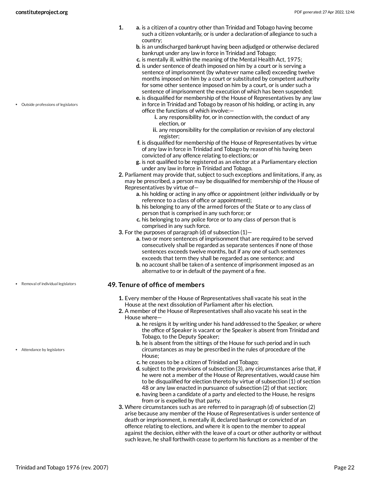Outside professions of legislators

- **1. a.** is a citizen of a country other than Trinidad and Tobago having become such a citizen voluntarily, or is under a declaration of allegiance to such a country;
	- **b.** is an undischarged bankrupt having been adjudged or otherwise declared bankrupt under any law in force in Trinidad and Tobago;
	- **c.** is mentally ill, within the meaning of the Mental Health Act, 1975;
	- **d.** is under sentence of death imposed on him by a court or is serving a sentence of imprisonment (by whatever name called) exceeding twelve months imposed on him by a court or substituted by competent authority for some other sentence imposed on him by a court, or is under such a sentence of imprisonment the execution of which has been suspended;
	- **e.** is disqualified for membership of the House of Representatives by any law in force in Trinidad and Tobago by reason of his holding, or acting in, any office the functions of which involve:
		- **i.** any responsibility for, or in connection with, the conduct of any election, or
		- **ii.** any responsibility for the compilation or revision of any electoral register;
	- **f.** is disqualified for membership of the House of Representatives by virtue of any law in force in Trinidad and Tobago by reason of his having been convicted of any offence relating to elections; or
	- **g.** is not qualified to be registered as an elector at a Parliamentary election under any law in force in Trinidad and Tobago.
- **2.** Parliament may provide that, subject to such exceptions and limitations, if any, as may be prescribed, a person may be disqualified for membership of the House of Representatives by virtue of
	- **a.** his holding or acting in any office or appointment (either individually or by reference to a class of office or appointment);
	- **b.** his belonging to any of the armed forces of the State or to any class of person that is comprised in any such force; or
	- **c.** his belonging to any police force or to any class of person that is comprised in any such force.
- **3.** For the purposes of paragraph (d) of subsection (1)
	- **a.** two or more sentences of imprisonment that are required to be served consecutively shall be regarded as separate sentences if none of those sentences exceeds twelve months, but if any one of such sentences exceeds that term they shall be regarded as one sentence; and
	- **b.** no account shall be taken of a sentence of imprisonment imposed as an alternative to or in default of the payment of a fine.

#### <span id="page-21-0"></span>**49. Tenure of office of members**

- **1.** Every member of the House of Representatives shall vacate his seat in the House at the next dissolution of Parliament after his election.
- **2.** A member of the House of Representatives shall also vacate his seat in the House where
	- **a.** he resigns it by writing under his hand addressed to the Speaker, or where the office of Speaker is vacant or the Speaker is absent from Trinidad and Tobago, to the Deputy Speaker;
	- **b.** he is absent from the sittings of the House for such period and in such circumstances as may be prescribed in the rules of procedure of the House;
	- **c.** he ceases to be a citizen of Trinidad and Tobago;
	- **d.** subject to the provisions of subsection (3), any circumstances arise that, if he were not a member of the House of Representatives, would cause him to be disqualified for election thereto by virtue of subsection (1) of section 48 or any law enacted in pursuance of subsection (2) of that section;
	- **e.** having been a candidate of a party and elected to the House, he resigns from or is expelled by that party.
- **3.** Where circumstances such as are referred to in paragraph (d) of subsection (2) arise because any member of the House of Representatives is under sentence of death or imprisonment, is mentally ill, declared bankrupt or convicted of an offence relating to elections, and where it is open to the member to appeal against the decision, either with the leave of a court or other authority or without such leave, he shall forthwith cease to perform his functions as a member of the

Removal of individual legislators

Attendance by legislators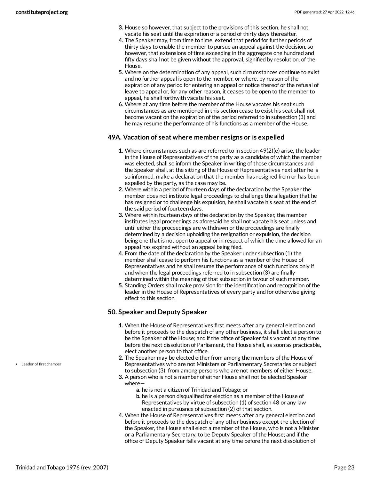- **3.** House so however, that subject to the provisions of this section, he shall not vacate his seat until the expiration of a period of thirty days thereafter.
- **4.** The Speaker may, from time to time, extend that period for further periods of thirty days to enable the member to pursue an appeal against the decision, so however, that extensions of time exceeding in the aggregate one hundred and fifty days shall not be given without the approval, signified by resolution, of the House.
- **5.** Where on the determination of any appeal, such circumstances continue to exist and no further appeal is open to the member, or where, by reason of the expiration of any period for entering an appeal or notice thereof or the refusal of leave to appeal or, for any other reason, it ceases to be open to the member to appeal, he shall forthwith vacate his seat.
- **6.** Where at any time before the member of the House vacates his seat such circumstances as are mentioned in this section cease to exist his seat shall not become vacant on the expiration of the period referred to in subsection (3) and he may resume the performance of his functions as a member of the House.

## **49A. Vacation of seat where member resigns or is expelled**

- **1.** Where circumstances such as are referred to in section 49(2)(e) arise, the leader in the House of Representatives of the party as a candidate of which the member was elected, shall so inform the Speaker in writing of those circumstances and the Speaker shall, at the sitting of the House of Representatives next after he is so informed, make a declaration that the member has resigned from or has been expelled by the party, as the case may be.
- **2.** Where within a period of fourteen days of the declaration by the Speaker the member does not institute legal proceedings to challenge the allegation that he has resigned or to challenge his expulsion, he shall vacate his seat at the end of the said period of fourteen days.
- **3.** Where within fourteen days of the declaration by the Speaker, the member institutes legal proceedings as aforesaid he shall not vacate his seat unless and until either the proceedings are withdrawn or the proceedings are finally determined by a decision upholding the resignation or expulsion, the decision being one that is not open to appeal or in respect of which the time allowed for an appeal has expired without an appeal being filed.
- **4.** From the date of the declaration by the Speaker under subsection (1) the member shall cease to perform his functions as a member of the House of Representatives and he shall resume the performance of such functions only if and when the legal proceedings referred to in subsection (3) are finally determined within the meaning of that subsection in favour of such member.
- **5.** Standing Orders shall make provision for the identification and recognition of the leader in the House of Representatives of every party and for otherwise giving effect to this section.

## <span id="page-22-0"></span>**50. Speaker and Deputy Speaker**

- **1.** When the House of Representatives first meets after any general election and before it proceeds to the despatch of any other business, it shall elect a person to be the Speaker of the House; and if the office of Speaker falls vacant at any time before the next dissolution of Parliament, the House shall, as soon as practicable, elect another person to that office.
- **2.** The Speaker may be elected either from among the members of the House of Representatives who are not Ministers or Parliamentary Secretaries or subject to subsection (3), from among persons who are not members of either House.
- **3.** A person who is not a member of either House shall not be elected Speaker where
	- **a.** he is not a citizen of Trinidad and Tobago; or
	- **b.** he is a person disqualified for election as a member of the House of Representatives by virtue of subsection (1) of section 48 or any law enacted in pursuance of subsection (2) of that section.
- **4.** When the House of Representatives first meets after any general election and before it proceeds to the despatch of any other business except the election of the Speaker, the House shall elect a member of the House, who is not a Minister or a Parliamentary Secretary, to be Deputy Speaker of the House; and if the office of Deputy Speaker falls vacant at any time before the next dissolution of

Leader of first chamber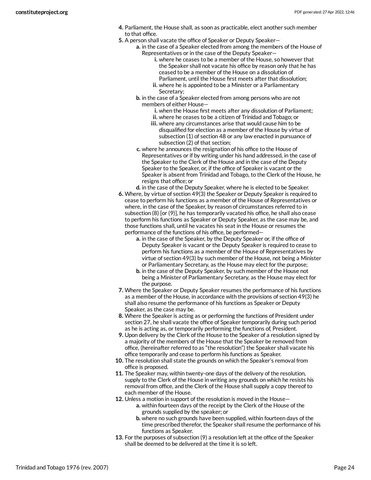- **4.** Parliament, the House shall, as soon as practicable, elect another such member to that office.
- **5.** A person shall vacate the office of Speaker or Deputy Speaker
	- **a.** in the case of a Speaker elected from among the members of the House of Representatives or in the case of the Deputy Speaker
		- **i.** where he ceases to be a member of the House, so however that the Speaker shall not vacate his office by reason only that he has ceased to be a member of the House on a dissolution of Parliament, until the House first meets after that dissolution;
		- **ii.** where he is appointed to be a Minister or a Parliamentary Secretary;
	- **b.** in the case of a Speaker elected from among persons who are not members of either House
		- **i.** when the House first meets after any dissolution of Parliament;
		- **ii.** where he ceases to be a citizen of Trinidad and Tobago; or
		- **iii.** where any circumstances arise that would cause him to be disqualified for election as a member of the House by virtue of subsection (1) of section 48 or any law enacted in pursuance of subsection (2) of that section;
	- **c.** where he announces the resignation of his office to the House of Representatives or if by writing under his hand addressed, in the case of the Speaker to the Clerk of the House and in the case of the Deputy Speaker to the Speaker, or, if the office of Speaker is vacant or the Speaker is absent from Trinidad and Tobago, to the Clerk of the House, he resigns that office; or
	- **d.** in the case of the Deputy Speaker, where he is elected to be Speaker.
- **6.** Where, by virtue of section 49(3) the Speaker or Deputy Speaker is required to cease to perform his functions as a member of the House of Representatives or where, in the case of the Speaker, by reason of circumstances referred to in subsection (8) [or (9)], he has temporarily vacated his office, he shall also cease to perform his functions as Speaker or Deputy Speaker, as the case may be, and those functions shall, until he vacates his seat in the House or resumes the performance of the functions of his office, be performed
	- **a.** in the case of the Speaker, by the Deputy Speaker or, if the office of Deputy Speaker is vacant or the Deputy Speaker is required to cease to perform his functions as a member of the House of Representatives by virtue of section 49(3) by such member of the House, not being a Minister or Parliamentary Secretary, as the House may elect for the purpose;
	- **b.** in the case of the Deputy Speaker, by such member of the House not being a Minister of Parliamentary Secretary, as the House may elect for the purpose.
- **7.** Where the Speaker or Deputy Speaker resumes the performance of his functions as a member of the House, in accordance with the provisions of section 49(3) he shall also resume the performance of his functions as Speaker or Deputy Speaker, as the case may be.
- **8.** Where the Speaker is acting as or performing the functions of President under section 27, he shall vacate the office of Speaker temporarily during such period as he is acting as, or temporarily performing the functions of, President.
- **9.** Upon delivery by the Clerk of the House to the Speaker of a resolution signed by a majority of the members of the House that the Speaker be removed from office, (hereinafter referred to as "the resolution") the Speaker shall vacate his office temporarily and cease to perform his functions as Speaker.
- **10.** The resolution shall state the grounds on which the Speaker's removal from office is proposed.
- **11.** The Speaker may, within twenty-one days of the delivery of the resolution, supply to the Clerk of the House in writing any grounds on which he resists his removal from office, and the Clerk of the House shall supply a copy thereof to each member of the House.
- **12.** Unless a motion in support of the resolution is moved in the House
	- **a.** within fourteen days of the receipt by the Clerk of the House of the grounds supplied by the speaker; or
	- **b.** where no such grounds have been supplied, within fourteen days of the time prescribed therefor, the Speaker shall resume the performance of his functions as Speaker.
- **13.** For the purposes of subsection (9) a resolution left at the office of the Speaker shall be deemed to be delivered at the time it is so left.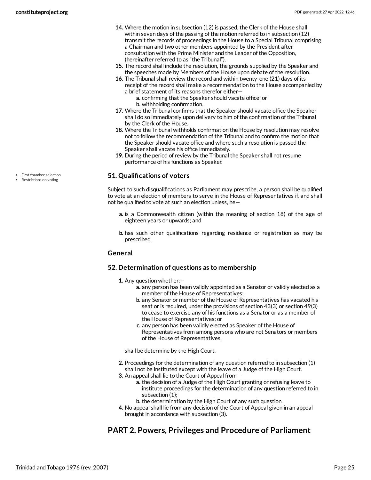- **14.** Where the motion in subsection (12) is passed, the Clerk of the House shall within seven days of the passing of the motion referred to in subsection (12) transmit the records of proceedings in the House to a Special Tribunal comprising a Chairman and two other members appointed by the President after consultation with the Prime Minister and the Leader of the Opposition, (hereinafter referred to as "the Tribunal").
- **15.** The record shall include the resolution, the grounds supplied by the Speaker and the speeches made by Members of the House upon debate of the resolution.
- **16.** The Tribunal shall review the record and within twenty-one (21) days of its receipt of the record shall make a recommendation to the House accompanied by a brief statement of its reasons therefor either—

**a.** confirming that the Speaker should vacate office; or **b.** withholding confirmation.

- **17.** Where the Tribunal confirms that the Speaker should vacate office the Speaker shall do so immediately upon delivery to him of the confirmation of the Tribunal by the Clerk of the House.
- **18.** Where the Tribunal withholds confirmation the House by resolution may resolve not to follow the recommendation of the Tribunal and to confirm the motion that the Speaker should vacate office and where such a resolution is passed the Speaker shall vacate his office immediately.
- **19.** During the period of review by the Tribunal the Speaker shall not resume performance of his functions as Speaker.

## <span id="page-24-1"></span>**51. Qualifications of voters**

Subject to such disqualifications as Parliament may prescribe, a person shall be qualified to vote at an election of members to serve in the House of Representatives if, and shall not be qualified to vote at such an election unless, he—

- **a.** is a Commonwealth citizen (within the meaning of section 18) of the age of eighteen years or upwards; and
- **b.** has such other qualifications regarding residence or registration as may be prescribed.

## **General**

## **52. Determination of questions as to membership**

**1.** Any question whether:—

- **a.** any person has been validly appointed as a Senator or validly elected as a member of the House of Representatives;
- **b.** any Senator or member of the House of Representatives has vacated his seat or is required, under the provisions of section 43(3) or section 49(3) to cease to exercise any of his functions as a Senator or as a member of the House of Representatives; or
- **c.** any person has been validly elected as Speaker of the House of Representatives from among persons who are not Senators or members of the House of Representatives,

shall be determine by the High Court.

- **2.** Proceedings for the determination of any question referred to in subsection (1) shall not be instituted except with the leave of a Judge of the High Court.
- **3.** An appeal shall lie to the Court of Appeal from
	- **a.** the decision of a Judge of the High Court granting or refusing leave to institute proceedings for the determination of any question referred to in subsection (1);
	- **b.** the determination by the High Court of any such question.
- **4.** No appeal shall lie from any decision of the Court of Appeal given in an appeal brought in accordance with subsection (3).

## <span id="page-24-0"></span>**PART 2. Powers, Privileges and Procedure of Parliament**

- First chamber selection
- Restrictions on voting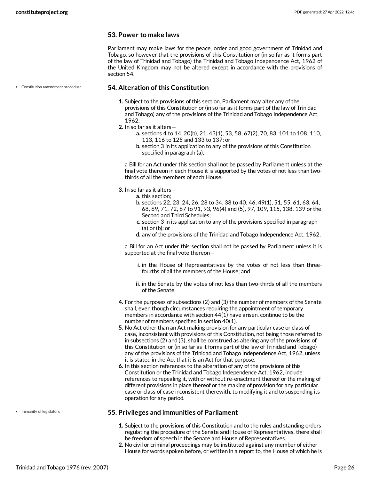Constitution amendment procedure

#### **53. Power to make laws**

Parliament may make laws for the peace, order and good government of Trinidad and Tobago, so however that the provisions of this Constitution or (in so far as it forms part of the law of Trinidad and Tobago) the Trinidad and Tobago Independence Act, 1962 of the United Kingdom may not be altered except in accordance with the provisions of section 54.

#### <span id="page-25-0"></span>**54. Alteration of this Constitution**

- **1.** Subject to the provisions of this section, Parliament may alter any of the provisions of this Constitution or (in so far as it forms part of the law of Trinidad and Tobago) any of the provisions of the Trinidad and Tobago Independence Act, 1962.
- **2.** In so far as it alters
	- **a.** sections 4 to 14, 20(b), 21, 43(1), 53, 58, 67(2), 70, 83, 101 to 108, 110, 113, 116 to 125 and 133 to 137; or
	- **b.** section 3 in its application to any of the provisions of this Constitution specified in paragraph (a),

a Bill for an Act under this section shall not be passed by Parliament unless at the final vote thereon in each House it is supported by the votes of not less than twothirds of all the members of each House.

**3.** In so far as it alters—

**a.** this section;

- **b.** sections 22, 23, 24, 26, 28 to 34, 38 to 40, 46, 49(1), 51, 55, 61, 63, 64, 68, 69, 71, 72, 87 to 91, 93, 96(4) and (5), 97, 109, 115, 138, 139 or the Second and Third Schedules;
- **c.** section 3 in its application to any of the provisions specified in paragraph (a) or (b); or
- **d.** any of the provisions of the Trinidad and Tobago Independence Act, 1962,

a Bill for an Act under this section shall not be passed by Parliament unless it is supported at the final vote thereon—

- **i.** in the House of Representatives by the votes of not less than threefourths of all the members of the House; and
- **ii.** in the Senate by the votes of not less than two-thirds of all the members of the Senate.
- **4.** For the purposes of subsections (2) and (3) the number of members of the Senate shall, even though circumstances requiring the appointment of temporary members in accordance with section 44(1) have arisen, continue to be the number of members specified in section 40(1).
- **5.** No Act other than an Act making provision for any particular case or class of case, inconsistent with provisions of this Constitution, not being those referred to in subsections (2) and (3), shall be construed as altering any of the provisions of this Constitution, or (in so far as it forms part of the law of Trinidad and Tobago) any of the provisions of the Trinidad and Tobago Independence Act, 1962, unless it is stated in the Act that it is an Act for that purpose.
- **6.** In this section references to the alteration of any of the provisions of this Constitution or the Trinidad and Tobago Independence Act, 1962, include references to repealing it, with or without re-enactment thereof or the making of different provisions in place thereof or the making of provision for any particular case or class of case inconsistent therewith, to modifying it and to suspending its operation for any period.

#### <span id="page-25-1"></span>**55. Privileges and immunities of Parliament**

- **1.** Subject to the provisions of this Constitution and to the rules and standing orders regulating the procedure of the Senate and House of Representatives, there shall be freedom of speech in the Senate and House of Representatives.
- **2.** No civil or criminal proceedings may be instituted against any member of either House for words spoken before, or written in a report to, the House of which he is

• Immunity of legislators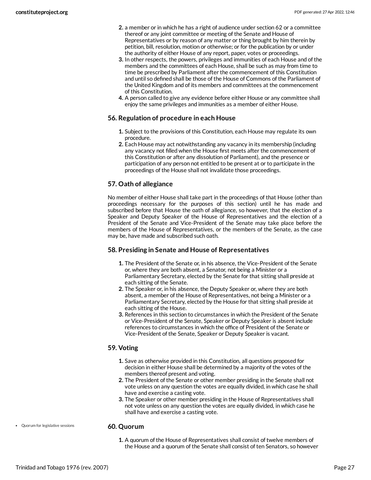- **2.** a member or in which he has a right of audience under section 62 or a committee thereof or any joint committee or meeting of the Senate and House of Representatives or by reason of any matter or thing brought by him therein by petition, bill, resolution, motion or otherwise; or for the publication by or under the authority of either House of any report, paper, votes or proceedings.
- **3.** In other respects, the powers, privileges and immunities of each House and of the members and the committees of each House, shall be such as may from time to time be prescribed by Parliament after the commencement of this Constitution and until so defined shall be those of the House of Commons of the Parliament of the United Kingdom and of its members and committees at the commencement of this Constitution.
- **4.** A person called to give any evidence before either House or any committee shall enjoy the same privileges and immunities as a member of either House.

## **56. Regulation of procedure in each House**

- **1.** Subject to the provisions of this Constitution, each House may regulate its own procedure.
- **2.** Each House may act notwithstanding any vacancy in its membership (including any vacancy not filled when the House first meets after the commencement of this Constitution or after any dissolution of Parliament), and the presence or participation of any person not entitled to be present at or to participate in the proceedings of the House shall not invalidate those proceedings.

## **57. Oath of allegiance**

No member of either House shall take part in the proceedings of that House (other than proceedings necessary for the purposes of this section) until he has made and subscribed before that House the oath of allegiance, so however, that the election of a Speaker and Deputy Speaker of the House of Representatives and the election of a President of the Senate and Vice-President of the Senate may take place before the members of the House of Representatives, or the members of the Senate, as the case may be, have made and subscribed such oath.

## **58. Presiding in Senate and House of Representatives**

- **1.** The President of the Senate or, in his absence, the Vice-President of the Senate or, where they are both absent, a Senator, not being a Minister or a Parliamentary Secretary, elected by the Senate for that sitting shall preside at each sitting of the Senate.
- **2.** The Speaker or, in his absence, the Deputy Speaker or, where they are both absent, a member of the House of Representatives, not being a Minister or a Parliamentary Secretary, elected by the House for that sitting shall preside at each sitting of the House.
- **3.** References in this section to circumstances in which the President of the Senate or Vice-President of the Senate, Speaker or Deputy Speaker is absent include references to circumstances in which the office of President of the Senate or Vice-President of the Senate, Speaker or Deputy Speaker is vacant.

## **59. Voting**

- **1.** Save as otherwise provided in this Constitution, all questions proposed for decision in either House shall be determined by a majority of the votes of the members thereof present and voting.
- **2.** The President of the Senate or other member presiding in the Senate shall not vote unless on any question the votes are equally divided, in which case he shall have and exercise a casting vote.
- **3.** The Speaker or other member presiding in the House of Representatives shall not vote unless on any question the votes are equally divided, in which case he shall have and exercise a casting vote.

Quorum for legislative sessions

#### <span id="page-26-0"></span>**60. Quorum**

**1.** A quorum of the House of Representatives shall consist of twelve members of the House and a quorum of the Senate shall consist of ten Senators, so however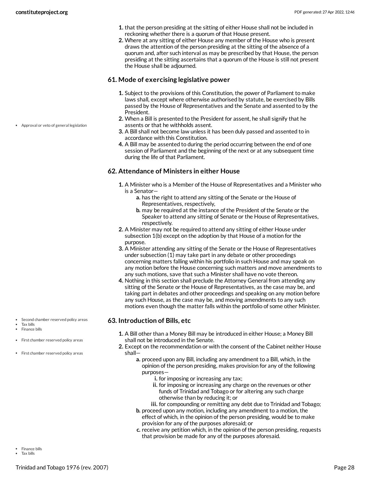- **1.** that the person presiding at the sitting of either House shall not be included in reckoning whether there is a quorum of that House present.
- **2.** Where at any sitting of either House any member of the House who is present draws the attention of the person presiding at the sitting of the absence of a quorum and, after such interval as may be prescribed by that House, the person presiding at the sitting ascertains that a quorum of the House is still not present the House shall be adjourned.

## <span id="page-27-0"></span>**61. Mode of exercising legislative power**

- **1.** Subject to the provisions of this Constitution, the power of Parliament to make laws shall, except where otherwise authorised by statute, be exercised by Bills passed by the House of Representatives and the Senate and assented to by the President.
- **2.** When a Bill is presented to the President for assent, he shall signify that he assents or that he withholds assent.
- **3.** A Bill shall not become law unless it has been duly passed and assented to in accordance with this Constitution.
- **4.** A Bill may be assented to during the period occurring between the end of one session of Parliament and the beginning of the next or at any subsequent time during the life of that Parliament.

## **62. Attendance of Ministers in either House**

- **1.** A Minister who is a Member of the House of Representatives and a Minister who is a Senator
	- **a.** has the right to attend any sitting of the Senate or the House of Representatives, respectively,
	- **b.** may be required at the instance of the President of the Senate or the Speaker to attend any sitting of Senate or the House of Representatives, respectively.
- **2.** A Minister may not be required to attend any sitting of either House under subsection 1(b) except on the adoption by that House of a motion for the purpose.
- **3.** A Minister attending any sitting of the Senate or the House of Representatives under subsection (1) may take part in any debate or other proceedings concerning matters falling within his portfolio in such House and may speak on any motion before the House concerning such matters and move amendments to any such motions, save that such a Minister shall have no vote thereon.
- **4.** Nothing in this section shall preclude the Attorney General from attending any sitting of the Senate or the House of Representatives, as the case may be, and taking part in debates and other proceedings and speaking on any motion before any such House, as the case may be, and moving amendments to any such motions even though the matter falls within the portfolio of some other Minister.

## <span id="page-27-1"></span>**63. Introduction of Bills, etc**

- **1.** A Bill other than a Money Bill may be introduced in either House; a Money Bill shall not be introduced in the Senate.
- **2.** Except on the recommendation or with the consent of the Cabinet neither House shall
	- **a.** proceed upon any Bill, including any amendment to a Bill, which, in the opinion of the person presiding, makes provision for any of the following purposes
		- **i.** for imposing or increasing any tax;
		- **ii.** for imposing or increasing any charge on the revenues or other funds of Trinidad and Tobago or for altering any such charge otherwise than by reducing it; or
		- **iii.** for compounding or remitting any debt due to Trinidad and Tobago;
	- **b.** proceed upon any motion, including any amendment to a motion, the effect of which, in the opinion of the person presiding, would be to make provision for any of the purposes aforesaid; or
	- **c.** receive any petition which, in the opinion of the person presiding, requests that provision be made for any of the purposes aforesaid.

Approval or veto of general legislation

Second chamber reserved policy areas

- Tax bills Finance bills
- 
- First chamber reserved policy areas
- First chamber reserved policy areas

- Finance bills
- Tax bills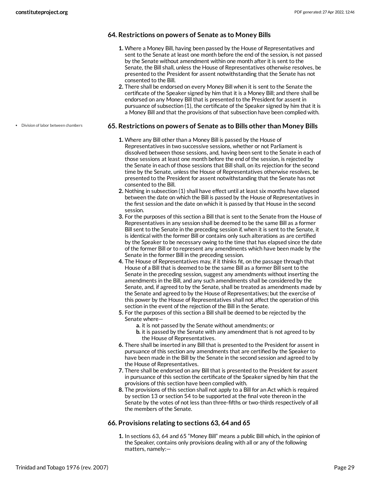## **64. Restrictions on powers of Senate as to Money Bills**

- **1.** Where a Money Bill, having been passed by the House of Representatives and sent to the Senate at least one month before the end of the session, is not passed by the Senate without amendment within one month after it is sent to the Senate, the Bill shall, unless the House of Representatives otherwise resolves, be presented to the President for assent notwithstanding that the Senate has not consented to the Bill.
- **2.** There shall be endorsed on every Money Bill when it is sent to the Senate the certificate of the Speaker signed by him that it is a Money Bill; and there shall be endorsed on any Money Bill that is presented to the President for assent in pursuance of subsection (1), the certificate of the Speaker signed by him that it is a Money Bill and that the provisions of that subsection have been complied with.

#### <span id="page-28-0"></span>**65. Restrictions on powers of Senate as to Bills other than Money Bills**

- **1.** Where any Bill other than a Money Bill is passed by the House of Representatives in two successive sessions, whether or not Parliament is dissolved between those sessions, and, having been sent to the Senate in each of those sessions at least one month before the end of the session, is rejected by the Senate in each of those sessions that Bill shall, on its rejection for the second time by the Senate, unless the House of Representatives otherwise resolves, be presented to the President for assent notwithstanding that the Senate has not consented to the Bill.
- **2.** Nothing in subsection (1) shall have effect until at least six months have elapsed between the date on which the Bill is passed by the House of Representatives in the first session and the date on which it is passed by that House in the second session.
- **3.** For the purposes of this section a Bill that is sent to the Senate from the House of Representatives in any session shall be deemed to be the same Bill as a former Bill sent to the Senate in the preceding session if, when it is sent to the Senate, it is identical with the former Bill or contains only such alterations as are certified by the Speaker to be necessary owing to the time that has elapsed since the date of the former Bill or to represent any amendments which have been made by the Senate in the former Bill in the preceding session.
- **4.** The House of Representatives may, if it thinks fit, on the passage through that House of a Bill that is deemed to be the same Bill as a former Bill sent to the Senate in the preceding session, suggest any amendments without inserting the amendments in the Bill, and any such amendments shall be considered by the Senate, and, if agreed to by the Senate, shall be treated as amendments made by the Senate and agreed to by the House of Representatives; but the exercise of this power by the House of Representatives shall not affect the operation of this section in the event of the rejection of the Bill in the Senate.
- **5.** For the purposes of this section a Bill shall be deemed to be rejected by the Senate where
	- **a.** it is not passed by the Senate without amendments; or
	- **b.** it is passed by the Senate with any amendment that is not agreed to by the House of Representatives.
- **6.** There shall be inserted in any Bill that is presented to the President for assent in pursuance of this section any amendments that are certified by the Speaker to have been made in the Bill by the Senate in the second session and agreed to by the House of Representatives.
- **7.** There shall be endorsed on any Bill that is presented to the President for assent in pursuance of this section the certificate of the Speaker signed by him that the provisions of this section have been complied with.
- **8.** The provisions of this section shall not apply to a Bill for an Act which is required by section 13 or section 54 to be supported at the final vote thereon in the Senate by the votes of not less than three-fifths or two-thirds respectively of all the members of the Senate.

## <span id="page-28-1"></span>**66. Provisions relating to sections 63, 64 and 65**

**1.** In sections 63, 64 and 65 "Money Bill" means a public Bill which, in the opinion of the Speaker, contains only provisions dealing with all or any of the following matters, namely:—

• Division of labor between chambers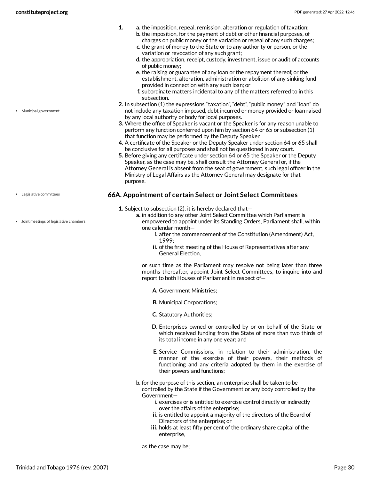- **1. a.** the imposition, repeal, remission, alteration or regulation of taxation; **b.** the imposition, for the payment of debt or other financial purposes, of
	- charges on public money or the variation or repeal of any such charges; **c.** the grant of money to the State or to any authority or person, or the variation or revocation of any such grant;
	- **d.** the appropriation, receipt, custody, investment, issue or audit of accounts of public money;
	- **e.** the raising or guarantee of any loan or the repayment thereof, or the establishment, alteration, administration or abolition of any sinking fund provided in connection with any such loan; or
	- **f.** subordinate matters incidental to any of the matters referred to in this subsection.
- **2.** In subsection (1) the expressions "taxation", "debt", "public money" and "loan" do not include any taxation imposed, debt incurred or money provided or loan raised by any local authority or body for local purposes.
- **3.** Where the office of Speaker is vacant or the Speaker is for any reason unable to perform any function conferred upon him by section 64 or 65 or subsection (1) that function may be performed by the Deputy Speaker.
- **4.** A certificate of the Speaker or the Deputy Speaker under section 64 or 65 shall be conclusive for all purposes and shall not be questioned in any court.
- **5.** Before giving any certificate under section 64 or 65 the Speaker or the Deputy Speaker, as the case may be, shall consult the Attorney General or, if the Attorney General is absent from the seat of government, such legal officer in the Ministry of Legal Affairs as the Attorney General may designate for that purpose.

#### <span id="page-29-0"></span>**66A. Appointment of certain Select or Joint Select Committees**

**1.** Subject to subsection (2), it is hereby declared that—

**a.** in addition to any other Joint Select Committee which Parliament is empowered to appoint under its Standing Orders, Parliament shall, within one calendar month—

- **i.** after the commencement of the Constitution (Amendment) Act, 1999;
- **ii.** of the first meeting of the House of Representatives after any General Election,

or such time as the Parliament may resolve not being later than three months thereafter, appoint Joint Select Committees, to inquire into and report to both Houses of Parliament in respect of—

- **A.** Government Ministries;
- **B.** Municipal Corporations;
- **C.** Statutory Authorities;
- **D.** Enterprises owned or controlled by or on behalf of the State or which received funding from the State of more than two thirds of its total income in any one year; and
- **E.** Service Commissions, in relation to their administration, the manner of the exercise of their powers, their methods of functioning and any criteria adopted by them in the exercise of their powers and functions;
- **b.** for the purpose of this section, an enterprise shall be taken to be controlled by the State if the Government or any body controlled by the Government
	- **i.** exercises or is entitled to exercise control directly or indirectly over the affairs of the enterprise;
	- **ii.** is entitled to appoint a majority of the directors of the Board of Directors of the enterprise; or
	- **iii.** holds at least fifty per cent of the ordinary share capital of the enterprise,

as the case may be;

Legislative committees

Municipal government

Joint meetings of legislative chambers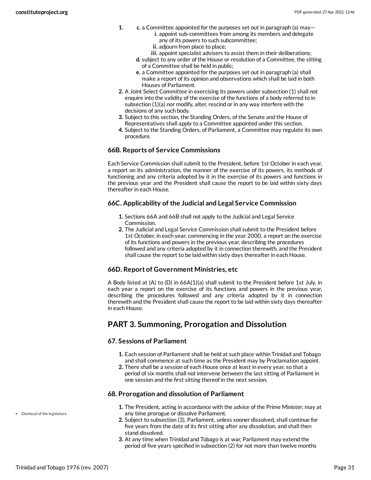- **1. c.** a Committee appointed for the purposes set out in paragraph (a) may **i.** appoint sub-committees from among its members and delegate
	- any of its powers to such subcommittee;
	- **ii.** adjourn from place to place;
	- **iii.** appoint specialist advisers to assist them in their deliberations;
	- **d.** subject to any order of the House or resolution of a Committee, the sitting of a Committee shall be held in public;
	- **e.** a Committee appointed for the purposes set out in paragraph (a) shall make a report of its opinion and observations which shall be laid in both Houses of Parliament.
- **2.** A Joint Select Committee in exercising its powers under subsection (1) shall not enquire into the validity of the exercise of the functions of a body referred to in subsection (1)(a) nor modify, alter, rescind or in any way interfere with the decisions of any such body.
- **3.** Subject to this section, the Standing Orders, of the Senate and the House of Representatives shall apply to a Committee appointed under this section.
- **4.** Subject to the Standing Orders, of Parliament, a Committee may regulate its own procedure.

## **66B. Reports of Service Commissions**

Each Service Commission shall submit to the President, before 1st October in each year, a report on its administration, the manner of the exercise of its powers, its methods of functioning and any criteria adopted by it in the exercise of its powers and functions in the previous year and the President shall cause the report to be laid within sixty days thereafter in each House.

## **66C. Applicability of the Judicial and Legal Service Commission**

- **1.** Sections 66A and 66B shall not apply to the Judicial and Legal Service Commission.
- **2.** The Judicial and Legal Service Commission shall submit to the President before 1st October, in each year, commencing in the year 2000, a report on the exercise of its functions and powers in the previous year, describing the procedures followed and any criteria adopted by it in connection therewith, and the President shall cause the report to be laid within sixty days thereafter in each House.

## **66D. Report of Government Ministries, etc**

A Body listed at (A) to (D) in 66A(1)(a) shall submit to the President before 1st July, in each year a report on the exercise of its functions and powers in the previous year, describing the procedures followed and any criteria adopted by it in connection therewith and the President shall cause the report to be laid within sixty days thereafter in each House.

## <span id="page-30-0"></span>**PART 3. Summoning, Prorogation and Dissolution**

## **67. Sessions of Parliament**

- **1.** Each session of Parliament shall be held at such place within Trinidad and Tobago and shall commence at such time as the President may by Proclamation appoint.
- **2.** There shall be a session of each House once at least in every year, so that a period of six months shall not intervene between the last sitting of Parliament in one session and the first sitting thereof in the next session.

## <span id="page-30-1"></span>**68. Prorogation and dissolution of Parliament**

- **1.** The President, acting in accordance with the advice of the Prime Minister, may at any time prorogue or dissolve Parliament.
- **2.** Subject to subsection (3), Parliament, unless sooner dissolved, shall continue for five years from the date of its first sitting after any dissolution, and shall then stand dissolved.
- **3.** At any time when Trinidad and Tobago is at war, Parliament may extend the period of five years specified in subsection (2) for not more than twelve months

Dismissal of the legislature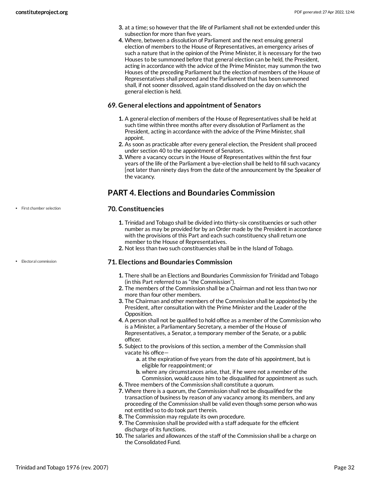- **3.** at a time; so however that the life of Parliament shall not be extended under this subsection for more than five years.
- **4.** Where, between a dissolution of Parliament and the next ensuing general election of members to the House of Representatives, an emergency arises of such a nature that in the opinion of the Prime Minister, it is necessary for the two Houses to be summoned before that general election can be held, the President, acting in accordance with the advice of the Prime Minister, may summon the two Houses of the preceding Parliament but the election of members of the House of Representatives shall proceed and the Parliament that has been summoned shall, if not sooner dissolved, again stand dissolved on the day on which the general election is held.

## **69. General elections and appointment of Senators**

- **1.** A general election of members of the House of Representatives shall be held at such time within three months after every dissolution of Parliament as the President, acting in accordance with the advice of the Prime Minister, shall appoint.
- **2.** As soon as practicable after every general election, the President shall proceed under section 40 to the appointment of Senators.
- **3.** Where a vacancy occurs in the House of Representatives within the first four years of the life of the Parliament a bye-election shall be held to fill such vacancy [not later than ninety days from the date of the announcement by the Speaker of the vacancy.

## <span id="page-31-0"></span>**PART 4. Elections and Boundaries Commission**

#### <span id="page-31-2"></span>**70. Constituencies**

- **1.** Trinidad and Tobago shall be divided into thirty-six constituencies or such other number as may be provided for by an Order made by the President in accordance with the provisions of this Part and each such constituency shall return one member to the House of Representatives.
- **2.** Not less than two such constituencies shall be in the Island of Tobago.

## <span id="page-31-1"></span>**71. Elections and Boundaries Commission**

- **1.** There shall be an Elections and Boundaries Commission for Trinidad and Tobago (in this Part referred to as "the Commission").
- **2.** The members of the Commission shall be a Chairman and not less than two nor more than four other members.
- **3.** The Chairman and other members of the Commission shall be appointed by the President, after consultation with the Prime Minister and the Leader of the Opposition.
- **4.** A person shall not be qualified to hold office as a member of the Commission who is a Minister, a Parliamentary Secretary, a member of the House of Representatives, a Senator, a temporary member of the Senate, or a public officer.
- **5.** Subject to the provisions of this section, a member of the Commission shall vacate his office
	- **a.** at the expiration of five years from the date of his appointment, but is eligible for reappointment; or
	- **b.** where any circumstances arise, that, if he were not a member of the Commission, would cause him to be disqualified for appointment as such.
- **6.** Three members of the Commission shall constitute a quorum.
- **7.** Where there is a quorum, the Commission shall not be disqualified for the transaction of business by reason of any vacancy among its members, and any proceeding of the Commission shall be valid even though some person who was not entitled so to do took part therein.
- **8.** The Commission may regulate its own procedure.
- **9.** The Commission shall be provided with a staff adequate for the efficient discharge of its functions.
- **10.** The salaries and allowances of the staff of the Commission shall be a charge on the Consolidated Fund.

• First chamber selection

Electoral commission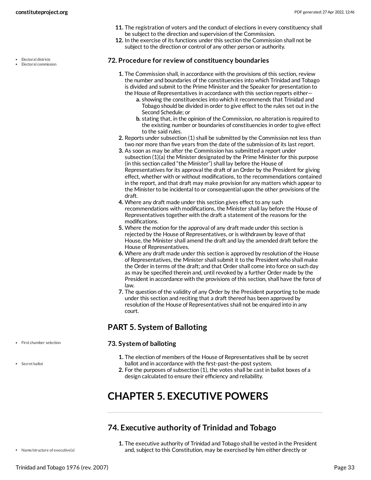Electoral districts Electoral commission

- **11.** The registration of voters and the conduct of elections in every constituency shall be subject to the direction and supervision of the Commission.
- **12.** In the exercise of its functions under this section the Commission shall not be subject to the direction or control of any other person or authority.

#### <span id="page-32-3"></span>**72. Procedure for review of constituency boundaries**

- **1.** The Commission shall, in accordance with the provisions of this section, review the number and boundaries of the constituencies into which Trinidad and Tobago is divided and submit to the Prime Minister and the Speaker for presentation to the House of Representatives in accordance with this section reports either
	- **a.** showing the constituencies into which it recommends that Trinidad and Tobago should be divided in order to give effect to the rules set out in the Second Schedule; or
	- **b.** stating that, in the opinion of the Commission, no alteration is required to the existing number or boundaries of constituencies in order to give effect to the said rules.
- **2.** Reports under subsection (1) shall be submitted by the Commission not less than two nor more than five years from the date of the submission of its last report.
- **3.** As soon as may be after the Commission has submitted a report under subsection (1)(a) the Minister designated by the Prime Minister for this purpose (in this section called "the Minister") shall lay before the House of Representatives for its approval the draft of an Order by the President for giving effect, whether with or without modifications, to the recommendations contained in the report, and that draft may make provision for any matters which appear to the Minister to be incidental to or consequential upon the other provisions of the draft.
- **4.** Where any draft made under this section gives effect to any such recommendations with modifications, the Minister shall lay before the House of Representatives together with the draft a statement of the reasons for the modifications.
- **5.** Where the motion for the approval of any draft made under this section is rejected by the House of Representatives, or is withdrawn by leave of that House, the Minister shall amend the draft and lay the amended draft before the House of Representatives.
- **6.** Where any draft made under this section is approved by resolution of the House of Representatives, the Minister shall submit it to the President who shall make the Order in terms of the draft; and that Order shall come into force on such day as may be specified therein and, until revoked by a further Order made by the President in accordance with the provisions of this section, shall have the force of law.
- **7.** The question of the validity of any Order by the President purporting to be made under this section and reciting that a draft thereof has been approved by resolution of the House of Representatives shall not be enquired into in any court.

## <span id="page-32-0"></span>**PART 5. System of Balloting**

## <span id="page-32-4"></span>**73. System of balloting**

- **1.** The election of members of the House of Representatives shall be by secret ballot and in accordance with the first-past-the-post system.
- **2.** For the purposes of subsection (1), the votes shall be cast in ballot boxes of a design calculated to ensure their efficiency and reliability.

# <span id="page-32-1"></span>**CHAPTER 5. EXECUTIVE POWERS**

## <span id="page-32-2"></span>**74. Executive authority of Trinidad and Tobago**

**1.** The executive authority of Trinidad and Tobago shall be vested in the President and, subject to this Constitution, may be exercised by him either directly or

First chamber selection

Secret ballot

Trinidad and Tobago 1976 (rev. 2007) Page 33

• Name/structure of executive(s)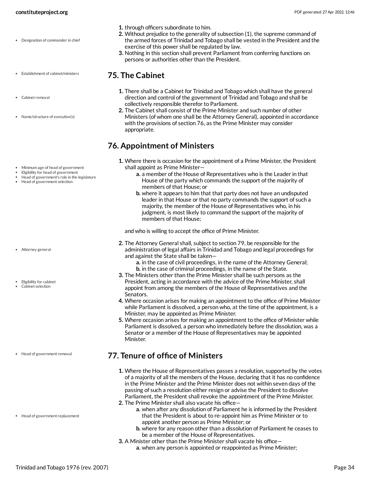- Designation of commander in chief
- Establishment of cabinet/ministers
- Cabinet removal
- Name/structure of executive(s)

Minimum age of head of government

- Eligibility for head of government
- Head of government's role in the legislature
- Head of government selection

- Attorney general
- Eligibility for cabinet
- Cabinet selection

Head of government removal

Head of government replacement

- **1.** through officers subordinate to him.
- **2.** Without prejudice to the generality of subsection (1), the supreme command of the armed forces of Trinidad and Tobago shall be vested in the President and the exercise of this power shall be regulated by law.
- **3.** Nothing in this section shall prevent Parliament from conferring functions on persons or authorities other than the President.

## <span id="page-33-0"></span>**75. The Cabinet**

- **1.** There shall be a Cabinet for Trinidad and Tobago which shall have the general direction and control of the government of Trinidad and Tobago and shall be collectively responsible therefor to Parliament.
- **2.** The Cabinet shall consist of the Prime Minister and such number of other Ministers (of whom one shall be the Attorney General), appointed in accordance with the provisions of section 76, as the Prime Minister may consider appropriate.

## <span id="page-33-1"></span>**76. Appointment of Ministers**

- **1.** Where there is occasion for the appointment of a Prime Minister, the President shall appoint as Prime Minister
	- **a.** a member of the House of Representatives who is the Leader in that House of the party which commands the support of the majority of members of that House; or
	- **b.** where it appears to him that that party does not have an undisputed leader in that House or that no party commands the support of such a majority, the member of the House of Representatives who, in his judgment, is most likely to command the support of the majority of members of that House;

and who is willing to accept the office of Prime Minister.

- **2.** The Attorney General shall, subject to section 79, be responsible for the administration of legal affairs in Trinidad and Tobago and legal proceedings for and against the State shall be taken
	- **a.** in the case of civil proceedings, in the name of the Attorney General; **b.** in the case of criminal proceedings, in the name of the State.
- **3.** The Ministers other than the Prime Minister shall be such persons as the President, acting in accordance with the advice of the Prime Minister, shall appoint from among the members of the House of Representatives and the Senators.
- **4.** Where occasion arises for making an appointment to the office of Prime Minister while Parliament is dissolved, a person who, at the time of the appointment, is a Minister, may be appointed as Prime Minister.
- **5.** Where occasion arises for making an appointment to the office of Minister while Parliament is dissolved, a person who immediately before the dissolution, was a Senator or a member of the House of Representatives may be appointed Minister.

## <span id="page-33-2"></span>**77. Tenure of office of Ministers**

- **1.** Where the House of Representatives passes a resolution, supported by the votes of a majority of all the members of the House, declaring that it has no confidence in the Prime Minister and the Prime Minister does not within seven days of the passing of such a resolution either resign or advise the President to dissolve Parliament, the President shall revoke the appointment of the Prime Minister.
- **2.** The Prime Minister shall also vacate his office
	- **a.** when after any dissolution of Parliament he is informed by the President that the President is about to re-appoint him as Prime Minister or to appoint another person as Prime Minister; or
	- **b.** where for any reason other than a dissolution of Parliament he ceases to be a member of the House of Representatives.
- **3.** A Minister other than the Prime Minister shall vacate his office **a.** when any person is appointed or reappointed as Prime Minister;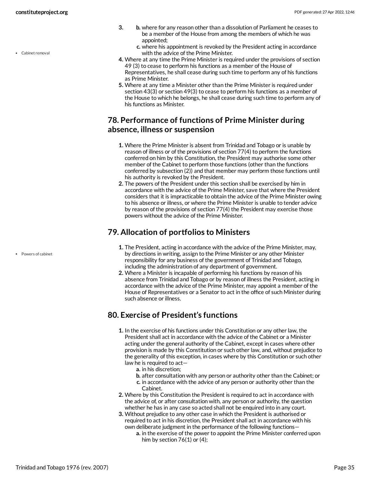Cabinet removal

- **3. b.** where for any reason other than a dissolution of Parliament he ceases to be a member of the House from among the members of which he was appointed;
	- **c.** where his appointment is revoked by the President acting in accordance with the advice of the Prime Minister.
- **4.** Where at any time the Prime Minister is required under the provisions of section 49 (3) to cease to perform his functions as a member of the House of Representatives, he shall cease during such time to perform any of his functions as Prime Minister.
- **5.** Where at any time a Minister other than the Prime Minister is required under section 43(3) or section 49(3) to cease to perform his functions as a member of the House to which he belongs, he shall cease during such time to perform any of his functions as Minister.

## <span id="page-34-0"></span>**78. Performance of functions of Prime Minister during absence, illness or suspension**

- **1.** Where the Prime Minister is absent from Trinidad and Tobago or is unable by reason of illness or of the provisions of section 77(4) to perform the functions conferred on him by this Constitution, the President may authorise some other member of the Cabinet to perform those functions (other than the functions conferred by subsection (2)) and that member may perform those functions until his authority is revoked by the President.
- **2.** The powers of the President under this section shall be exercised by him in accordance with the advice of the Prime Minister, save that where the President considers that it is impracticable to obtain the advice of the Prime Minister owing to his absence or illness, or where the Prime Minister is unable to tender advice by reason of the provisions of section 77(4) the President may exercise those powers without the advice of the Prime Minister.

## <span id="page-34-1"></span>**79. Allocation of portfolios to Ministers**

- **1.** The President, acting in accordance with the advice of the Prime Minister, may, by directions in writing, assign to the Prime Minister or any other Minister responsibility for any business of the government of Trinidad and Tobago, including the administration of any department of government.
- **2.** Where a Minister is incapable of performing his functions by reason of his absence from Trinidad and Tobago or by reason of illness the President, acting in accordance with the advice of the Prime Minister, may appoint a member of the House of Representatives or a Senator to act in the office of such Minister during such absence or illness.

## <span id="page-34-2"></span>**80. Exercise of President's functions**

- **1.** In the exercise of his functions under this Constitution or any other law, the President shall act in accordance with the advice of the Cabinet or a Minister acting under the general authority of the Cabinet, except in cases where other provision is made by this Constitution or such other law, and, without prejudice to the generality of this exception, in cases where by this Constitution or such other law he is required to act
	- **a.** in his discretion;
	- **b.** after consultation with any person or authority other than the Cabinet; or
	- **c.** in accordance with the advice of any person or authority other than the Cabinet.
- **2.** Where by this Constitution the President is required to act in accordance with the advice of, or after consultation with, any person or authority, the question whether he has in any case so acted shall not be enquired into in any court.
- **3.** Without prejudice to any other case in which the President is authorised or required to act in his discretion, the President shall act in accordance with his own deliberate judgment in the performance of the following functions
	- **a.** in the exercise of the power to appoint the Prime Minister conferred upon him by section  $76(1)$  or  $(4)$ ;

Powers of cabinet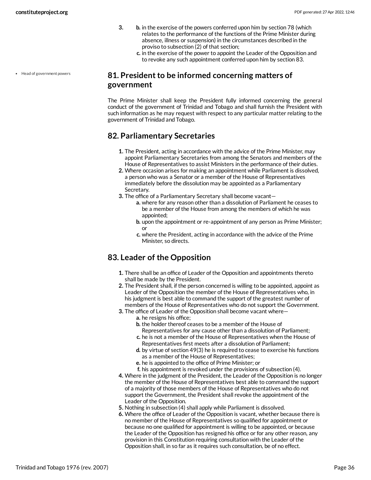- **3. b.** in the exercise of the powers conferred upon him by section 78 (which relates to the performance of the functions of the Prime Minister during absence, illness or suspension) in the circumstances described in the proviso to subsection (2) of that section;
	- **c.** in the exercise of the power to appoint the Leader of the Opposition and to revoke any such appointment conferred upon him by section 83.

## <span id="page-35-0"></span>**81. President to be informed concerning matters of government**

The Prime Minister shall keep the President fully informed concerning the general conduct of the government of Trinidad and Tobago and shall furnish the President with such information as he may request with respect to any particular matter relating to the government of Trinidad and Tobago.

## <span id="page-35-1"></span>**82. Parliamentary Secretaries**

- **1.** The President, acting in accordance with the advice of the Prime Minister, may appoint Parliamentary Secretaries from among the Senators and members of the House of Representatives to assist Ministers in the performance of their duties.
- **2.** Where occasion arises for making an appointment while Parliament is dissolved, a person who was a Senator or a member of the House of Representatives immediately before the dissolution may be appointed as a Parliamentary Secretary.
- **3.** The office of a Parliamentary Secretary shall become vacant
	- **a.** where for any reason other than a dissolution of Parliament he ceases to be a member of the House from among the members of which he was appointed;
	- **b.** upon the appointment or re-appointment of any person as Prime Minister; or
	- **c.** where the President, acting in accordance with the advice of the Prime Minister, so directs.

## <span id="page-35-2"></span>**83. Leader of the Opposition**

- **1.** There shall be an office of Leader of the Opposition and appointments thereto shall be made by the President.
- **2.** The President shall, if the person concerned is willing to be appointed, appoint as Leader of the Opposition the member of the House of Representatives who, in his judgment is best able to command the support of the greatest number of members of the House of Representatives who do not support the Government.
- **3.** The office of Leader of the Opposition shall become vacant where
	- **a.** he resigns his office;
		- **b.** the holder thereof ceases to be a member of the House of Representatives for any cause other than a dissolution of Parliament;
		- **c.** he is not a member of the House of Representatives when the House of Representatives first meets after a dissolution of Parliament;
		- **d.** by virtue of section 49(3) he is required to cease to exercise his functions as a member of the House of Representatives;
		- **e.** he is appointed to the office of Prime Minister; or
	- **f.** his appointment is revoked under the provisions of subsection (4).
- **4.** Where in the judgment of the President, the Leader of the Opposition is no longer the member of the House of Representatives best able to command the support of a majority of those members of the House of Representatives who do not support the Government, the President shall revoke the appointment of the Leader of the Opposition.
- **5.** Nothing in subsection (4) shall apply while Parliament is dissolved.
- **6.** Where the office of Leader of the Opposition is vacant, whether because there is no member of the House of Representatives so qualified for appointment or because no one qualified for appointment is willing to be appointed, or because the Leader of the Opposition has resigned his office or for any other reason, any provision in this Constitution requiring consultation with the Leader of the Opposition shall, in so far as it requires such consultation, be of no effect.

Head of government powers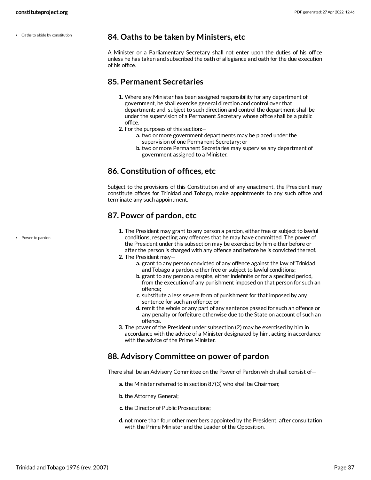## <span id="page-36-0"></span>**84. Oaths to be taken by Ministers, etc**

A Minister or a Parliamentary Secretary shall not enter upon the duties of his office unless he has taken and subscribed the oath of allegiance and oath for the due execution of his office.

## <span id="page-36-1"></span>**85. Permanent Secretaries**

- **1.** Where any Minister has been assigned responsibility for any department of government, he shall exercise general direction and control over that department; and, subject to such direction and control the department shall be under the supervision of a Permanent Secretary whose office shall be a public office.
- **2.** For the purposes of this section:
	- **a.** two or more government departments may be placed under the supervision of one Permanent Secretary; or
	- **b.** two or more Permanent Secretaries may supervise any department of government assigned to a Minister.

## <span id="page-36-2"></span>**86. Constitution of offices, etc**

Subject to the provisions of this Constitution and of any enactment, the President may constitute offices for Trinidad and Tobago, make appointments to any such office and terminate any such appointment.

## <span id="page-36-3"></span>**87. Power of pardon, etc**

- **1.** The President may grant to any person a pardon, either free or subject to lawful conditions, respecting any offences that he may have committed. The power of the President under this subsection may be exercised by him either before or
- after the person is charged with any offence and before he is convicted thereof. **2.** The President may
	- **a.** grant to any person convicted of any offence against the law of Trinidad and Tobago a pardon, either free or subject to lawful conditions;
	- **b.** grant to any person a respite, either indefinite or for a specified period, from the execution of any punishment imposed on that person for such an offence;
	- **c.** substitute a less severe form of punishment for that imposed by any sentence for such an offence; or
	- **d.** remit the whole or any part of any sentence passed for such an offence or any penalty or forfeiture otherwise due to the State on account of such an offence.
- **3.** The power of the President under subsection (2) may be exercised by him in accordance with the advice of a Minister designated by him, acting in accordance with the advice of the Prime Minister.

## <span id="page-36-4"></span>**88. Advisory Committee on power of pardon**

There shall be an Advisory Committee on the Power of Pardon which shall consist of—

- **a.** the Minister referred to in section 87(3) who shall be Chairman;
- **b.** the Attorney General;
- **c.** the Director of Public Prosecutions;
- **d.** not more than four other members appointed by the President, after consultation with the Prime Minister and the Leader of the Opposition.

• Power to pardon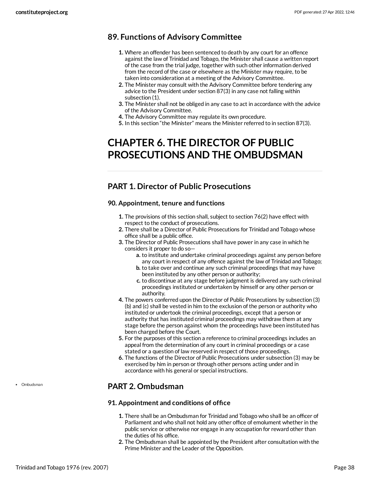## <span id="page-37-0"></span>**89. Functions of Advisory Committee**

- **1.** Where an offender has been sentenced to death by any court for an offence against the law of Trinidad and Tobago, the Minister shall cause a written report of the case from the trial judge, together with such other information derived from the record of the case or elsewhere as the Minister may require, to be taken into consideration at a meeting of the Advisory Committee.
- **2.** The Minister may consult with the Advisory Committee before tendering any advice to the President under section 87(3) in any case not falling within subsection (1).
- **3.** The Minister shall not be obliged in any case to act in accordance with the advice of the Advisory Committee.
- **4.** The Advisory Committee may regulate its own procedure.
- **5.** In this section "the Minister" means the Minister referred to in section 87(3).

# <span id="page-37-1"></span>**CHAPTER 6. THE DIRECTOR OF PUBLIC PROSECUTIONS AND THE OMBUDSMAN**

## <span id="page-37-2"></span>**PART 1. Director of Public Prosecutions**

## **90. Appointment, tenure and functions**

- **1.** The provisions of this section shall, subject to section 76(2) have effect with respect to the conduct of prosecutions.
- **2.** There shall be a Director of Public Prosecutions for Trinidad and Tobago whose office shall be a public office.
- **3.** The Director of Public Prosecutions shall have power in any case in which he considers it proper to do so
	- **a.** to institute and undertake criminal proceedings against any person before any court in respect of any offence against the law of Trinidad and Tobago;
	- **b.** to take over and continue any such criminal proceedings that may have been instituted by any other person or authority;
	- **c.** to discontinue at any stage before judgment is delivered any such criminal proceedings instituted or undertaken by himself or any other person or authority.
- **4.** The powers conferred upon the Director of Public Prosecutions by subsection (3) (b) and (c) shall be vested in him to the exclusion of the person or authority who instituted or undertook the criminal proceedings, except that a person or authority that has instituted criminal proceedings may withdraw them at any stage before the person against whom the proceedings have been instituted has been charged before the Court.
- **5.** For the purposes of this section a reference to criminal proceedings includes an appeal from the determination of any court in criminal proceedings or a case stated or a question of law reserved in respect of those proceedings.
- **6.** The functions of the Director of Public Prosecutions under subsection (3) may be exercised by him in person or through other persons acting under and in accordance with his general or special instructions.

#### Ombudsman

## <span id="page-37-3"></span>**PART 2. Ombudsman**

#### **91. Appointment and conditions of office**

- **1.** There shall be an Ombudsman for Trinidad and Tobago who shall be an officer of Parliament and who shall not hold any other office of emolument whether in the public service or otherwise nor engage in any occupation for reward other than the duties of his office.
- **2.** The Ombudsman shall be appointed by the President after consultation with the Prime Minister and the Leader of the Opposition.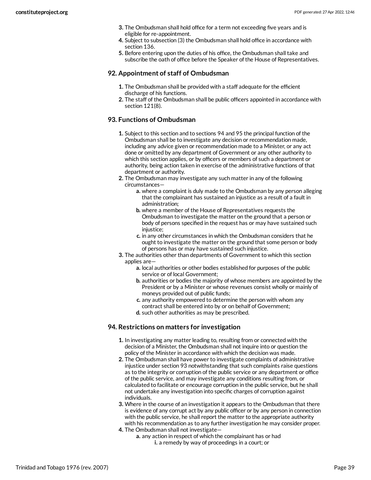- **3.** The Ombudsman shall hold office for a term not exceeding five years and is eligible for re-appointment.
- **4.** Subject to subsection (3) the Ombudsman shall hold office in accordance with section 136.
- **5.** Before entering upon the duties of his office, the Ombudsman shall take and subscribe the oath of office before the Speaker of the House of Representatives.

#### **92. Appointment of staff of Ombudsman**

- **1.** The Ombudsman shall be provided with a staff adequate for the efficient discharge of his functions.
- **2.** The staff of the Ombudsman shall be public officers appointed in accordance with section 121(8).

#### **93. Functions of Ombudsman**

- **1.** Subject to this section and to sections 94 and 95 the principal function of the Ombudsman shall be to investigate any decision or recommendation made, including any advice given or recommendation made to a Minister, or any act done or omitted by any department of Government or any other authority to which this section applies, or by officers or members of such a department or authority, being action taken in exercise of the administrative functions of that department or authority.
- **2.** The Ombudsman may investigate any such matter in any of the following circumstances
	- **a.** where a complaint is duly made to the Ombudsman by any person alleging that the complainant has sustained an injustice as a result of a fault in administration;
	- **b.** where a member of the House of Representatives requests the Ombudsman to investigate the matter on the ground that a person or body of persons specified in the request has or may have sustained such injustice;
	- **c.** in any other circumstances in which the Ombudsman considers that he ought to investigate the matter on the ground that some person or body of persons has or may have sustained such injustice.
- **3.** The authorities other than departments of Government to which this section applies are
	- **a.** local authorities or other bodies established for purposes of the public service or of local Government;
	- **b.** authorities or bodies the majority of whose members are appointed by the President or by a Minister or whose revenues consist wholly or mainly of moneys provided out of public funds;
	- **c.** any authority empowered to determine the person with whom any contract shall be entered into by or on behalf of Government;
	- **d.** such other authorities as may be prescribed.

## **94. Restrictions on matters for investigation**

- **1.** In investigating any matter leading to, resulting from or connected with the decision of a Minister, the Ombudsman shall not inquire into or question the policy of the Minister in accordance with which the decision was made.
- **2.** The Ombudsman shall have power to investigate complaints of administrative injustice under section 93 notwithstanding that such complaints raise questions as to the integrity or corruption of the public service or any department or office of the public service, and may investigate any conditions resulting from, or calculated to facilitate or encourage corruption in the public service, but he shall not undertake any investigation into specific charges of corruption against individuals.
- **3.** Where in the course of an investigation it appears to the Ombudsman that there is evidence of any corrupt act by any public officer or by any person in connection with the public service, he shall report the matter to the appropriate authority with his recommendation as to any further investigation he may consider proper. **4.** The Ombudsman shall not investigate
	- **a.** any action in respect of which the complainant has or had **i.** a remedy by way of proceedings in a court; or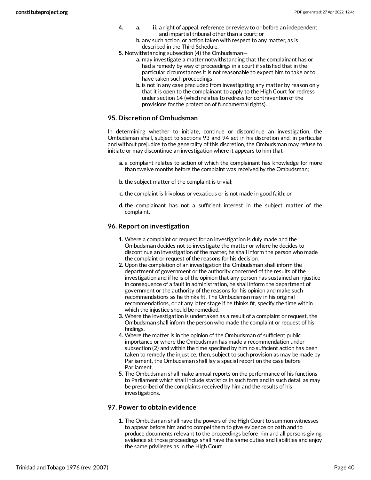- **4. a. ii.** a right of appeal, reference or review to or before an independent and impartial tribunal other than a court; or
	- **b.** any such action, or action taken with respect to any matter, as is described in the Third Schedule.
- **5.** Notwithstanding subsection (4) the Ombudsman
	- **a.** may investigate a matter notwithstanding that the complainant has or had a remedy by way of proceedings in a court if satisfied that in the particular circumstances it is not reasonable to expect him to take or to have taken such proceedings;
	- **b.** is not in any case precluded from investigating any matter by reason only that it is open to the complainant to apply to the High Court for redress under section 14 (which relates to redress for contravention of the provisions for the protection of fundamental rights).

## **95. Discretion of Ombudsman**

In determining whether to initiate, continue or discontinue an investigation, the Ombudsman shall, subject to sections 93 and 94 act in his discretion and, in particular and without prejudice to the generality of this discretion, the Ombudsman may refuse to initiate or may discontinue an investigation where it appears to him that—

- **a.** a complaint relates to action of which the complainant has knowledge for more than twelve months before the complaint was received by the Ombudsman;
- **b.** the subject matter of the complaint is trivial;
- **c.** the complaint is frivolous or vexatious or is not made in good faith; or
- **d.** the complainant has not a sufficient interest in the subject matter of the complaint.

#### **96. Report on investigation**

- **1.** Where a complaint or request for an investigation is duly made and the Ombudsman decides not to investigate the matter or where he decides to discontinue an investigation of the matter, he shall inform the person who made the complaint or request of the reasons for his decision.
- **2.** Upon the completion of an investigation the Ombudsman shall inform the department of government or the authority concerned of the results of the investigation and if he is of the opinion that any person has sustained an injustice in consequence of a fault in administration, he shall inform the department of government or the authority of the reasons for his opinion and make such recommendations as he thinks fit. The Ombudsman may in his original recommendations, or at any later stage if he thinks fit, specify the time within which the injustice should be remedied.
- **3.** Where the investigation is undertaken as a result of a complaint or request, the Ombudsman shall inform the person who made the complaint or request of his findings.
- **4.** Where the matter is in the opinion of the Ombudsman of sufficient public importance or where the Ombudsman has made a recommendation under subsection (2) and within the time specified by him no sufficient action has been taken to remedy the injustice, then, subject to such provision as may be made by Parliament, the Ombudsman shall lay a special report on the case before Parliament.
- **5.** The Ombudsman shall make annual reports on the performance of his functions to Parliament which shall include statistics in such form and in such detail as may be prescribed of the complaints received by him and the results of his investigations.

## **97. Power to obtain evidence**

**1.** The Ombudsman shall have the powers of the High Court to summon witnesses to appear before him and to compel them to give evidence on oath and to produce documents relevant to the proceedings before him and all persons giving evidence at those proceedings shall have the same duties and liabilities and enjoy the same privileges as in the High Court.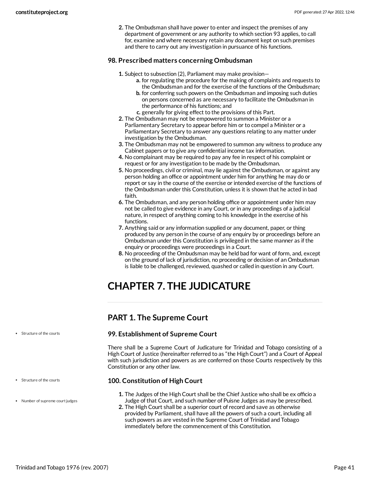**2.** The Ombudsman shall have power to enter and inspect the premises of any department of government or any authority to which section 93 applies, to call for, examine and where necessary retain any document kept on such premises and there to carry out any investigation in pursuance of his functions.

#### **98. Prescribed matters concerning Ombudsman**

- **1.** Subject to subsection (2), Parliament may make provision
	- **a.** for regulating the procedure for the making of complaints and requests to the Ombudsman and for the exercise of the functions of the Ombudsman;
	- **b.** for conferring such powers on the Ombudsman and imposing such duties on persons concerned as are necessary to facilitate the Ombudsman in the performance of his functions; and
	- **c.** generally for giving effect to the provisions of this Part.
- **2.** The Ombudsman may not be empowered to summon a Minister or a Parliamentary Secretary to appear before him or to compel a Minister or a Parliamentary Secretary to answer any questions relating to any matter under investigation by the Ombudsman.
- **3.** The Ombudsman may not be empowered to summon any witness to produce any Cabinet papers or to give any confidential income tax information.
- **4.** No complainant may be required to pay any fee in respect of his complaint or request or for any investigation to be made by the Ombudsman.
- **5.** No proceedings, civil or criminal, may lie against the Ombudsman, or against any person holding an office or appointment under him for anything he may do or report or say in the course of the exercise or intended exercise of the functions of the Ombudsman under this Constitution, unless it is shown that he acted in bad faith.
- **6.** The Ombudsman, and any person holding office or appointment under him may not be called to give evidence in any Court, or in any proceedings of a judicial nature, in respect of anything coming to his knowledge in the exercise of his functions.
- **7.** Anything said or any information supplied or any document, paper, or thing produced by any person in the course of any enquiry by or proceedings before an Ombudsman under this Constitution is privileged in the same manner as if the enquiry or proceedings were proceedings in a Court.
- **8.** No proceeding of the Ombudsman may be held bad for want of form, and, except on the ground of lack of jurisdiction, no proceeding or decision of an Ombudsman is liable to be challenged, reviewed, quashed or called in question in any Court.

# <span id="page-40-0"></span>**CHAPTER 7. THE JUDICATURE**

## <span id="page-40-1"></span>**PART 1. The Supreme Court**

## <span id="page-40-3"></span>**99. Establishment of Supreme Court**

There shall be a Supreme Court of Judicature for Trinidad and Tobago consisting of a High Court of Justice (hereinafter referred to as "the High Court") and a Court of Appeal with such jurisdiction and powers as are conferred on those Courts respectively by this Constitution or any other law.

## <span id="page-40-2"></span>**100. Constitution of High Court**

- **1.** The Judges of the High Court shall be the Chief Justice who shall be ex officio a Judge of that Court, and such number of Puisne Judges as may be prescribed.
- **2.** The High Court shall be a superior court of record and save as otherwise provided by Parliament, shall have all the powers of such a court, including all such powers as are vested in the Supreme Court of Trinidad and Tobago immediately before the commencement of this Constitution.

Structure of the courts

- Structure of the courts
- Number of supreme court judges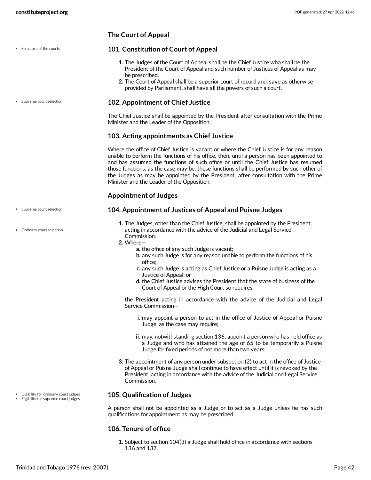Structure of the courts

Supreme court selection

## **The Court of Appeal**

#### <span id="page-41-2"></span>**101. Constitution of Court of Appeal**

- **1.** The Judges of the Court of Appeal shall be the Chief Justice who shall be the President of the Court of Appeal and such number of Justices of Appeal as may be prescribed.
- **2.** The Court of Appeal shall be a superior court of record and, save as otherwise provided by Parliament, shall have all the powers of such a court.

#### <span id="page-41-3"></span>**102. Appointment of Chief Justice**

The Chief Justice shall be appointed by the President after consultation with the Prime Minister and the Leader of the Opposition.

#### **103. Acting appointments as Chief Justice**

Where the office of Chief Justice is vacant or where the Chief Justice is for any reason unable to perform the functions of his office, then, until a person has been appointed to and has assumed the functions of such office or until the Chief Justice has resumed those functions, as the case may be, those functions shall be performed by such other of the Judges as may be appointed by the President, after consultation with the Prime Minister and the Leader of the Opposition.

## **Appointment of Judges**

#### <span id="page-41-1"></span>**104. Appointment of Justices of Appeal and Puisne Judges**

- **1.** The Judges, other than the Chief Justice, shall be appointed by the President, acting in accordance with the advice of the Judicial and Legal Service Commission.
- **2.** Where
	- **a.** the office of any such Judge is vacant;
	- **b.** any such Judge is for any reason unable to perform the functions of his office;
	- **c.** any such Judge is acting as Chief Justice or a Puisne Judge is acting as a Justice of Appeal; or
	- **d.** the Chief Justice advises the President that the state of business of the Court of Appeal or the High Court so requires,

the President acting in accordance with the advice of the Judicial and Legal Service Commission—

- **i.** may appoint a person to act in the office of Justice of Appeal or Puisne Judge, as the case may require;
- **ii.** may, notwithstanding section 136, appoint a person who has held office as a Judge and who has attained the age of 65 to be temporarily a Puisne Judge for fixed periods of not more than two years.
- **3.** The appointment of any person under subsection (2) to act in the office of Justice of Appeal or Puisne Judge shall continue to have effect until it is revoked by the President, acting in accordance with the advice of the Judicial and Legal Service Commission.

## <span id="page-41-0"></span>**105. Qualification of Judges**

A person shall not be appointed as a Judge or to act as a Judge unless he has such qualifications for appointment as may be prescribed.

## **106. Tenure of office**

**1.** Subject to section 104(3) a Judge shall hold office in accordance with sections 136 and 137.

- Supreme court selection
- Ordinary court selection

- Eligibility for ordinary court judges
- Eligibility for supreme court judges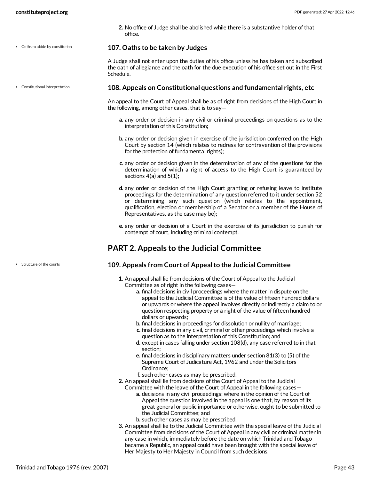**2.** No office of Judge shall be abolished while there is a substantive holder of that office.

#### Oaths to abide by constitution

Constitutional interpretation

A Judge shall not enter upon the duties of his office unless he has taken and subscribed the oath of allegiance and the oath for the due execution of his office set out in the First Schedule.

<span id="page-42-2"></span>**107. Oaths to be taken by Judges**

#### <span id="page-42-1"></span>**108. Appeals on Constitutional questions and fundamental rights, etc**

An appeal to the Court of Appeal shall be as of right from decisions of the High Court in the following, among other cases, that is to say—

- **a.** any order or decision in any civil or criminal proceedings on questions as to the interpretation of this Constitution;
- **b.** any order or decision given in exercise of the jurisdiction conferred on the High Court by section 14 (which relates to redress for contravention of the provisions for the protection of fundamental rights);
- **c.** any order or decision given in the determination of any of the questions for the determination of which a right of access to the High Court is guaranteed by sections 4(a) and 5(1);
- **d.** any order or decision of the High Court granting or refusing leave to institute proceedings for the determination of any question referred to it under section 52 or determining any such question (which relates to the appointment, qualification, election or membership of a Senator or a member of the House of Representatives, as the case may be);
- **e.** any order or decision of a Court in the exercise of its jurisdiction to punish for contempt of court, including criminal contempt.

## <span id="page-42-0"></span>**PART 2. Appeals to the Judicial Committee**

Structure of the courts

#### <span id="page-42-3"></span>**109. Appeals from Court of Appealto the Judicial Committee**

- **1.** An appeal shall lie from decisions of the Court of Appeal to the Judicial Committee as of right in the following cases
	- **a.** final decisions in civil proceedings where the matter in dispute on the appeal to the Judicial Committee is of the value of fifteen hundred dollars or upwards or where the appeal involves directly or indirectly a claim to or question respecting property or a right of the value of fifteen hundred dollars or upwards;
	- **b.** final decisions in proceedings for dissolution or nullity of marriage;
	- **c.** final decisions in any civil, criminal or other proceedings which involve a question as to the interpretation of this Constitution; and
	- **d.** except in cases falling under section 108(d), any case referred to in that section;
	- **e.** final decisions in disciplinary matters under section 81(3) to (5) of the Supreme Court of Judicature Act, 1962 and under the Solicitors Ordinance;
	- **f.** such other cases as may be prescribed.
- **2.** An appeal shall lie from decisions of the Court of Appeal to the Judicial
	- Committee with the leave of the Court of Appeal in the following cases **a.** decisions in any civil proceedings; where in the opinion of the Court of Appeal the question involved in the appeal is one that, by reason of its great general or public importance or otherwise, ought to be submitted to the Judicial Committee; and
		- **b.** such other cases as may be prescribed.
- **3.** An appeal shall lie to the Judicial Committee with the special leave of the Judicial Committee from decisions of the Court of Appeal in any civil or criminal matter in any case in which, immediately before the date on which Trinidad and Tobago became a Republic, an appeal could have been brought with the special leave of Her Majesty to Her Majesty in Council from such decisions.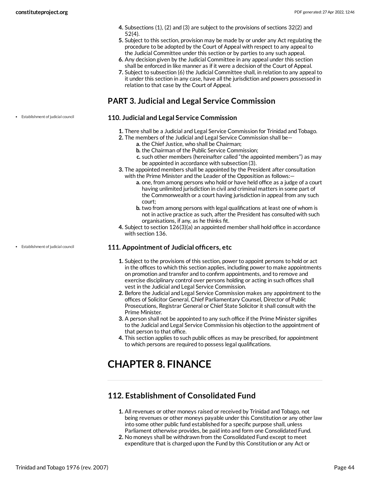- **4.** Subsections (1), (2) and (3) are subject to the provisions of sections 32(2) and 52(4).
- **5.** Subject to this section, provision may be made by or under any Act regulating the procedure to be adopted by the Court of Appeal with respect to any appeal to the Judicial Committee under this section or by parties to any such appeal.
- **6.** Any decision given by the Judicial Committee in any appeal under this section shall be enforced in like manner as if it were a decision of the Court of Appeal.
- **7.** Subject to subsection (6) the Judicial Committee shall, in relation to any appeal to it under this section in any case, have all the jurisdiction and powers possessed in relation to that case by the Court of Appeal.

## <span id="page-43-0"></span>**PART 3. Judicial and Legal Service Commission**

#### <span id="page-43-3"></span>**110. Judicial and Legal Service Commission**

- **1.** There shall be a Judicial and Legal Service Commission for Trinidad and Tobago.
- **2.** The members of the Judicial and Legal Service Commission shall be
	- **a.** the Chief Justice, who shall be Chairman;
	- **b.** the Chairman of the Public Service Commission;
	- **c.** such other members (hereinafter called "the appointed members") as may be appointed in accordance with subsection (3).
- **3.** The appointed members shall be appointed by the President after consultation with the Prime Minister and the Leader of the Opposition as follows:
	- **a.** one, from among persons who hold or have held office as a judge of a court having unlimited jurisdiction in civil and criminal matters in some part of the Commonwealth or a court having jurisdiction in appeal from any such court;
	- **b.** two from among persons with legal qualifications at least one of whom is not in active practice as such, after the President has consulted with such organisations, if any, as he thinks fit.
- **4.** Subject to section 126(3)(a) an appointed member shall hold office in accordance with section 136.

#### **111. Appointment of Judicial officers, etc**

- **1.** Subject to the provisions of this section, power to appoint persons to hold or act in the offices to which this section applies, including power to make appointments on promotion and transfer and to confirm appointments, and to remove and exercise disciplinary control over persons holding or acting in such offices shall vest in the Judicial and Legal Service Commission.
- **2.** Before the Judicial and Legal Service Commission makes any appointment to the offices of Solicitor General, Chief Parliamentary Counsel, Director of Public Prosecutions, Registrar General or Chief State Solicitor it shall consult with the Prime Minister.
- **3.** A person shall not be appointed to any such office if the Prime Minister signifies to the Judicial and Legal Service Commission his objection to the appointment of that person to that office.
- **4.** This section applies to such public offices as may be prescribed, for appointment to which persons are required to possess legal qualifications.

# <span id="page-43-1"></span>**CHAPTER 8. FINANCE**

## <span id="page-43-2"></span>**112. Establishment of Consolidated Fund**

- **1.** All revenues or other moneys raised or received by Trinidad and Tobago, not being revenues or other moneys payable under this Constitution or any other law into some other public fund established for a specific purpose shall, unless Parliament otherwise provides, be paid into and form one Consolidated Fund.
- **2.** No moneys shall be withdrawn from the Consolidated Fund except to meet expenditure that is charged upon the Fund by this Constitution or any Act or

Establishment of judicial council

Establishment of judicial council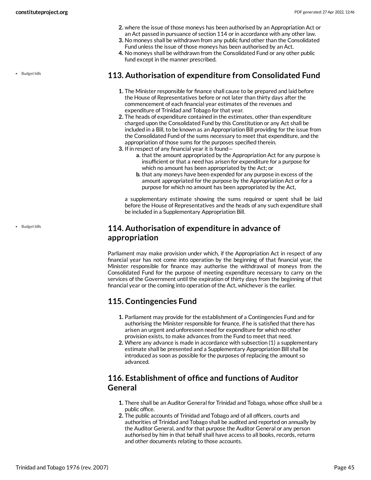- **2.** where the issue of those moneys has been authorised by an Appropriation Act or an Act passed in pursuance of section 114 or in accordance with any other law.
- **3.** No moneys shall be withdrawn from any public fund other than the Consolidated Fund unless the issue of those moneys has been authorised by an Act.
- **4.** No moneys shall be withdrawn from the Consolidated Fund or any other public fund except in the manner prescribed.

## <span id="page-44-0"></span>**113. Authorisation of expenditure from Consolidated Fund**

- **1.** The Minister responsible for finance shall cause to be prepared and laid before the House of Representatives before or not later than thirty days after the commencement of each financial year estimates of the revenues and expenditure of Trinidad and Tobago for that year.
- **2.** The heads of expenditure contained in the estimates, other than expenditure charged upon the Consolidated Fund by this Constitution or any Act shall be included in a Bill, to be known as an Appropriation Bill providing for the issue from the Consolidated Fund of the sums necessary to meet that expenditure, and the appropriation of those sums for the purposes specified therein.
- **3.** If in respect of any financial year it is found
	- **a.** that the amount appropriated by the Appropriation Act for any purpose is insufficient or that a need has arisen for expenditure for a purpose for which no amount has been appropriated by the Act; or
	- **b.** that any moneys have been expended for any purpose in excess of the amount appropriated for the purpose by the Appropriation Act or for a purpose for which no amount has been appropriated by the Act,

a supplementary estimate showing the sums required or spent shall be laid before the House of Representatives and the heads of any such expenditure shall be included in a Supplementary Appropriation Bill.

## <span id="page-44-1"></span>**114. Authorisation of expenditure in advance of appropriation**

Parliament may make provision under which, if the Appropriation Act in respect of any financial year has not come into operation by the beginning of that financial year, the Minister responsible for finance may authorise the withdrawal of moneys from the Consolidated Fund for the purpose of meeting expenditure necessary to carry on the services of the Government until the expiration of thirty days from the beginning of that financial year or the coming into operation of the Act, whichever is the earlier.

## <span id="page-44-2"></span>**115. Contingencies Fund**

- **1.** Parliament may provide for the establishment of a Contingencies Fund and for authorising the Minister responsible for finance, if he is satisfied that there has arisen an urgent and unforeseen need for expenditure for which no other provision exists, to make advances from the Fund to meet that need.
- **2.** Where any advance is made in accordance with subsection (1) a supplementary estimate shall be presented and a Supplementary Appropriation Bill shall be introduced as soon as possible for the purposes of replacing the amount so advanced.

## <span id="page-44-3"></span>**116. Establishment of office and functions of Auditor General**

- **1.** There shall be an Auditor General for Trinidad and Tobago, whose office shall be a public office.
- **2.** The public accounts of Trinidad and Tobago and of all officers, courts and authorities of Trinidad and Tobago shall be audited and reported on annually by the Auditor General, and for that purpose the Auditor General or any person authorised by him in that behalf shall have access to all books, records, returns and other documents relating to those accounts.

Budget bills

• Budget bills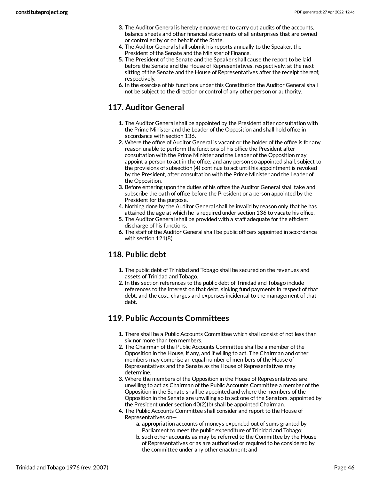- **3.** The Auditor General is hereby empowered to carry out audits of the accounts, balance sheets and other financial statements of all enterprises that are owned or controlled by or on behalf of the State.
- **4.** The Auditor General shall submit his reports annually to the Speaker, the President of the Senate and the Minister of Finance.
- **5.** The President of the Senate and the Speaker shall cause the report to be laid before the Senate and the House of Representatives, respectively, at the next sitting of the Senate and the House of Representatives after the receipt thereof, respectively.
- **6.** In the exercise of his functions under this Constitution the Auditor General shall not be subject to the direction or control of any other person or authority.

## <span id="page-45-0"></span>**117. Auditor General**

- **1.** The Auditor General shall be appointed by the President after consultation with the Prime Minister and the Leader of the Opposition and shall hold office in accordance with section 136.
- **2.** Where the office of Auditor General is vacant or the holder of the office is for any reason unable to perform the functions of his office the President after consultation with the Prime Minister and the Leader of the Opposition may appoint a person to act in the office, and any person so appointed shall, subject to the provisions of subsection (4) continue to act until his appointment is revoked by the President, after consultation with the Prime Minister and the Leader of the Opposition.
- **3.** Before entering upon the duties of his office the Auditor General shall take and subscribe the oath of office before the President or a person appointed by the President for the purpose.
- **4.** Nothing done by the Auditor General shall be invalid by reason only that he has attained the age at which he is required under section 136 to vacate his office.
- **5.** The Auditor General shall be provided with a staff adequate for the efficient discharge of his functions.
- **6.** The staff of the Auditor General shall be public officers appointed in accordance with section 121(8).

## <span id="page-45-1"></span>**118. Public debt**

- **1.** The public debt of Trinidad and Tobago shall be secured on the revenues and assets of Trinidad and Tobago.
- **2.** In this section references to the public debt of Trinidad and Tobago include references to the interest on that debt, sinking fund payments in respect of that debt, and the cost, charges and expenses incidental to the management of that debt.

## <span id="page-45-2"></span>**119. Public Accounts Committees**

- **1.** There shall be a Public Accounts Committee which shall consist of not less than six nor more than ten members.
- **2.** The Chairman of the Public Accounts Committee shall be a member of the Opposition in the House, if any, and if willing to act. The Chairman and other members may comprise an equal number of members of the House of Representatives and the Senate as the House of Representatives may determine.
- **3.** Where the members of the Opposition in the House of Representatives are unwilling to act as Chairman of the Public Accounts Committee a member of the Opposition in the Senate shall be appointed and where the members of the Opposition in the Senate are unwilling so to act one of the Senators, appointed by the President under section 40(2)(b) shall be appointed Chairman.
- **4.** The Public Accounts Committee shall consider and report to the House of Representatives on
	- **a.** appropriation accounts of moneys expended out of sums granted by Parliament to meet the public expenditure of Trinidad and Tobago;
	- **b.** such other accounts as may be referred to the Committee by the House of Representatives or as are authorised or required to be considered by the committee under any other enactment; and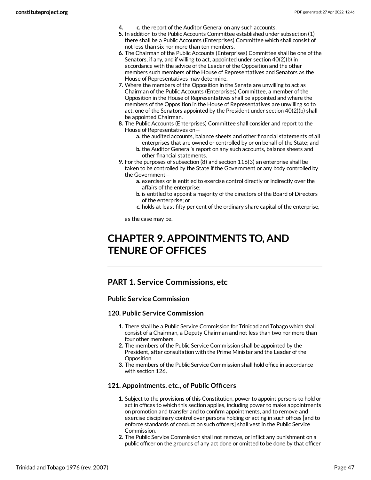- **4. c.** the report of the Auditor General on any such accounts.
- **5.** In addition to the Public Accounts Committee established under subsection (1) there shall be a Public Accounts (Enterprises) Committee which shall consist of not less than six nor more than ten members.
- **6.** The Chairman of the Public Accounts (Enterprises) Committee shall be one of the Senators, if any, and if willing to act, appointed under section 40(2)(b) in accordance with the advice of the Leader of the Opposition and the other members such members of the House of Representatives and Senators as the House of Representatives may determine.
- **7.** Where the members of the Opposition in the Senate are unwilling to act as Chairman of the Public Accounts (Enterprises) Committee, a member of the Opposition in the House of Representatives shall be appointed and where the members of the Opposition in the House of Representatives are unwilling so to act, one of the Senators appointed by the President under section 40(2)(b) shall be appointed Chairman.
- **8.** The Public Accounts (Enterprises) Committee shall consider and report to the House of Representatives on
	- **a.** the audited accounts, balance sheets and other financial statements of all enterprises that are owned or controlled by or on behalf of the State; and
	- **b.** the Auditor General's report on any such accounts, balance sheets and other financial statements.
- **9.** For the purposes of subsection (8) and section 116(3) an enterprise shall be taken to be controlled by the State if the Government or any body controlled by the Government
	- **a.** exercises or is entitled to exercise control directly or indirectly over the affairs of the enterprise;
	- **b.** is entitled to appoint a majority of the directors of the Board of Directors of the enterprise; or
	- **c.** holds at least fifty per cent of the ordinary share capital of the enterprise,

as the case may be.

# <span id="page-46-0"></span>**CHAPTER 9. APPOINTMENTS TO, AND TENURE OF OFFICES**

## <span id="page-46-1"></span>**PART 1. Service Commissions, etc**

#### **Public Service Commission**

#### **120. Public Service Commission**

- **1.** There shall be a Public Service Commission for Trinidad and Tobago which shall consist of a Chairman, a Deputy Chairman and not less than two nor more than four other members.
- **2.** The members of the Public Service Commission shall be appointed by the President, after consultation with the Prime Minister and the Leader of the Opposition.
- **3.** The members of the Public Service Commission shall hold office in accordance with section 126.

#### **121. Appointments, etc., of Public Officers**

- **1.** Subject to the provisions of this Constitution, power to appoint persons to hold or act in offices to which this section applies, including power to make appointments on promotion and transfer and to confirm appointments, and to remove and exercise disciplinary control over persons holding or acting in such offices [and to enforce standards of conduct on such officers] shall vest in the Public Service Commission.
- **2.** The Public Service Commission shall not remove, or inflict any punishment on a public officer on the grounds of any act done or omitted to be done by that officer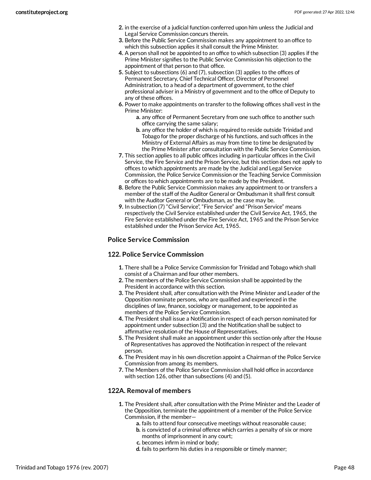- **2.** in the exercise of a judicial function conferred upon him unless the Judicial and Legal Service Commission concurs therein.
- **3.** Before the Public Service Commission makes any appointment to an office to which this subsection applies it shall consult the Prime Minister.
- **4.** A person shall not be appointed to an office to which subsection (3) applies if the Prime Minister signifies to the Public Service Commission his objection to the appointment of that person to that office.
- **5.** Subject to subsections (6) and (7), subsection (3) applies to the offices of Permanent Secretary, Chief Technical Officer, Director of Personnel Administration, to a head of a department of government, to the chief professional adviser in a Ministry of government and to the office of Deputy to any of these offices.
- **6.** Power to make appointments on transfer to the following offices shall vest in the Prime Minister:
	- **a.** any office of Permanent Secretary from one such office to another such office carrying the same salary;
	- **b.** any office the holder of which is required to reside outside Trinidad and Tobago for the proper discharge of his functions, and such offices in the Ministry of External Affairs as may from time to time be designated by the Prime Minister after consultation with the Public Service Commission.
- **7.** This section applies to all public offices including in particular offices in the Civil Service, the Fire Service and the Prison Service, but this section does not apply to offices to which appointments are made by the Judicial and Legal Service Commission, the Police Service Commission or the Teaching Service Commission or offices to which appointments are to be made by the President.
- **8.** Before the Public Service Commission makes any appointment to or transfers a member of the staff of the Auditor General or Ombudsman it shall first consult with the Auditor General or Ombudsman, as the case may be.
- **9.** In subsection (7) "Civil Service", "Fire Service" and "Prison Service" means respectively the Civil Service established under the Civil Service Act, 1965, the Fire Service established under the Fire Service Act, 1965 and the Prison Service established under the Prison Service Act, 1965.

## **Police Service Commission**

## **122. Police Service Commission**

- **1.** There shall be a Police Service Commission for Trinidad and Tobago which shall consist of a Chairman and four other members.
- **2.** The members of the Police Service Commission shall be appointed by the President in accordance with this section.
- **3.** The President shall, after consultation with the Prime Minister and Leader of the Opposition nominate persons, who are qualified and experienced in the disciplines of law, finance, sociology or management, to be appointed as members of the Police Service Commission.
- **4.** The President shall issue a Notification in respect of each person nominated for appointment under subsection (3) and the Notification shall be subject to affirmative resolution of the House of Representatives.
- **5.** The President shall make an appointment under this section only after the House of Representatives has approved the Notification in respect of the relevant person.
- **6.** The President may in his own discretion appoint a Chairman of the Police Service Commission from among its members.
- **7.** The Members of the Police Service Commission shall hold office in accordance with section 126, other than subsections (4) and (5).

## **122A. Removal of members**

- **1.** The President shall, after consultation with the Prime Minister and the Leader of the Opposition, terminate the appointment of a member of the Police Service Commission, if the member
	- **a.** fails to attend four consecutive meetings without reasonable cause;
	- **b.** is convicted of a criminal offence which carries a penalty of six or more months of imprisonment in any court;
	- **c.** becomes infirm in mind or body;
	- **d.** fails to perform his duties in a responsible or timely manner;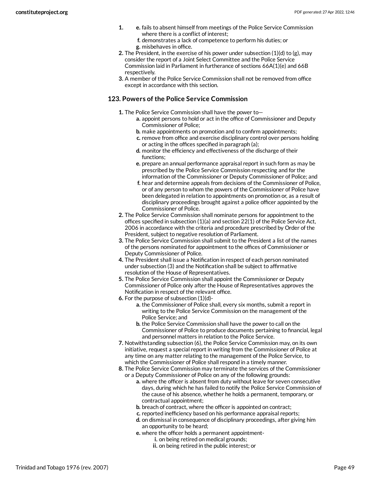- **1. e.** fails to absent himself from meetings of the Police Service Commission where there is a conflict of interest;
	- **f.** demonstrates a lack of competence to perform his duties; or
	- **g.** misbehaves in office.
- **2.** The President, in the exercise of his power under subsection (1)(d) to (g), may consider the report of a Joint Select Committee and the Police Service Commission laid in Parliament in furtherance of sections 66A(1)(e) and 66B respectively.
- **3.** A member of the Police Service Commission shall not be removed from office except in accordance with this section.

#### **123. Powers of the Police Service Commission**

- **1.** The Police Service Commission shall have the power to
	- **a.** appoint persons to hold or act in the office of Commissioner and Deputy Commissioner of Police;
	- **b.** make appointments on promotion and to confirm appointments;
	- **c.** remove from office and exercise disciplinary control over persons holding or acting in the offices specified in paragraph (a);
	- **d.** monitor the efficiency and effectiveness of the discharge of their functions;
	- **e.** prepare an annual performance appraisal report in such form as may be prescribed by the Police Service Commission respecting and for the information of the Commissioner or Deputy Commissioner of Police; and
	- **f.** hear and determine appeals from decisions of the Commissioner of Police, or of any person to whom the powers of the Commissioner of Police have been delegated in relation to appointments on promotion or, as a result of disciplinary proceedings brought against a police officer appointed by the Commissioner of Police.
- **2.** The Police Service Commission shall nominate persons for appointment to the offices specified in subsection (1)(a) and section 22(1) of the Police Service Act, 2006 in accordance with the criteria and procedure prescribed by Order of the President, subject to negative resolution of Parliament.
- **3.** The Police Service Commission shall submit to the President a list of the names of the persons nominated for appointment to the offices of Commissioner or Deputy Commissioner of Police.
- **4.** The President shall issue a Notification in respect of each person nominated under subsection (3) and the Notification shall be subject to affirmative resolution of the House of Representatives.
- **5.** The Police Service Commission shall appoint the Commissioner or Deputy Commissioner of Police only after the House of Representatives approves the Notification in respect of the relevant office.
- **6.** For the purpose of subsection (1)(d)
	- **a.** the Commissioner of Police shall, every six months, submit a report in writing to the Police Service Commission on the management of the Police Service; and
	- **b.** the Police Service Commission shall have the power to call on the Commissioner of Police to produce documents pertaining to financial, legal and personnel matters in relation to the Police Service.
- **7.** Notwithstanding subsection (6), the Police Service Commission may, on its own initiative, request a special report in writing from the Commissioner of Police at any time on any matter relating to the management of the Police Service, to which the Commissioner of Police shall respond in a timely manner.
- **8.** The Police Service Commission may terminate the services of the Commissioner or a Deputy Commissioner of Police on any of the following grounds:
	- **a.** where the officer is absent from duty without leave for seven consecutive days, during which he has failed to notify the Police Service Commission of the cause of his absence, whether he holds a permanent, temporary, or contractual appointment;
	- **b.** breach of contract, where the officer is appointed on contract;
	- **c.** reported inefficiency based on his performance appraisal reports;
	- **d.** on dismissal in consequence of disciplinary proceedings, after giving him an opportunity to be heard;
	- **e.** where the officer holds a permanent appointment**i.** on being retired on medical grounds;
		- **ii.** on being retired in the public interest; or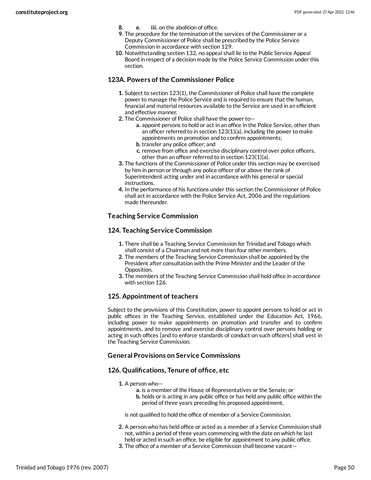- **8. e. iii.** on the abolition of office.
- **9.** The procedure for the termination of the services of the Commissioner or a Deputy Commissioner of Police shall be prescribed by the Police Service Commission in accordance with section 129.
- **10.** Notwithstanding section 132, no appeal shall lie to the Public Service Appeal Board in respect of a decision made by the Police Service Commission under this section.

#### **123A. Powers of the Commissioner Police**

- **1.** Subject to section 123(1), the Commissioner of Police shall have the complete power to manage the Police Service and is required to ensure that the human, financial and material resources available to the Service are used in an efficient and effective manner.
- **2.** The Commissioner of Police shall have the power to
	- **a.** appoint persons to hold or act in an office in the Police Service, other than an officer referred to in section 123(1)(a), including the power to make appointments on promotion and to confirm appointments;
	- **b.** transfer any police officer; and
	- **c.** remove from office and exercise disciplinary control over police officers, other than an officer referred to in section 123(1)(a).
- **3.** The functions of the Commissioner of Police under this section may be exercised by him in person or through any police officer of or above the rank of Superintendent acting under and in accordance with his general or special instructions.
- **4.** In the performance of his functions under this section the Commissioner of Police shall act in accordance with the Police Service Act, 2006 and the regulations made thereunder.

## **Teaching Service Commission**

#### **124. Teaching Service Commission**

- **1.** There shall be a Teaching Service Commission for Trinidad and Tobago which shall consist of a Chairman and not more than four other members.
- **2.** The members of the Teaching Service Commission shall be appointed by the President after consultation with the Prime Minister and the Leader of the Opposition.
- **3.** The members of the Teaching Service Commission shall hold office in accordance with section 126.

## **125. Appointment of teachers**

Subject to the provisions of this Constitution, power to appoint persons to hold or act in public offices in the Teaching Service, established under the Education Act, 1966, including power to make appointments on promotion and transfer and to confirm appointments, and to remove and exercise disciplinary control over persons holding or acting in such offices [and to enforce standards of conduct on such officers] shall vest in the Teaching Service Commission.

#### **General Provisions on Service Commissions**

#### **126. Qualifications, Tenure of office, etc**

- **1.** A person who
	- **a.** is a member of the House of Representatives or the Senate; or
	- **b.** holds or is acting in any public office or has held any public office within the period of three years preceding his proposed appointment,

is not qualified to hold the office of member of a Service Commission.

- **2.** A person who has held office or acted as a member of a Service Commission shall not, within a period of three years commencing with the date on which he last held or acted in such an office, be eligible for appointment to any public office.
- **3.** The office of a member of a Service Commission shall become vacant—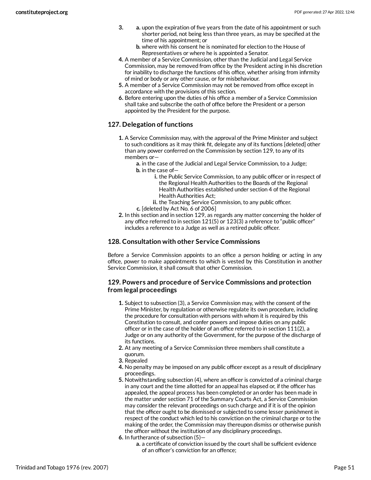- **3. a.** upon the expiration of five years from the date of his appointment or such shorter period, not being less than three years, as may be specified at the time of his appointment; or
	- **b.** where with his consent he is nominated for election to the House of Representatives or where he is appointed a Senator.
- **4.** A member of a Service Commission, other than the Judicial and Legal Service Commission, may be removed from office by the President acting in his discretion for inability to discharge the functions of his office, whether arising from infirmity of mind or body or any other cause, or for misbehaviour.
- **5.** A member of a Service Commission may not be removed from office except in accordance with the provisions of this section.
- **6.** Before entering upon the duties of his office a member of a Service Commission shall take and subscribe the oath of office before the President or a person appointed by the President for the purpose.

## **127. Delegation of functions**

- **1.** A Service Commission may, with the approval of the Prime Minister and subject to such conditions as it may think fit, delegate any of its functions [deleted] other than any power conferred on the Commission by section 129, to any of its members or
	- **a.** in the case of the Judicial and Legal Service Commission, to a Judge; **b.** in the case of
		- **i.** the Public Service Commission, to any public officer or in respect of the Regional Health Authorities to the Boards of the Regional Health Authorities established under section 4 of the Regional Health Authorities Act;
		- **ii.** the Teaching Service Commission, to any public officer.
	- **c.** [deleted by Act No. 6 of 2006]
- **2.** In this section and in section 129, as regards any matter concerning the holder of any office referred to in section 121(5) or 123(3) a reference to "public officer" includes a reference to a Judge as well as a retired public officer.

## **128. Consultation with other Service Commissions**

Before a Service Commission appoints to an office a person holding or acting in any office, power to make appointments to which is vested by this Constitution in another Service Commission, it shall consult that other Commission.

## **129. Powers and procedure of Service Commissions and protection from legal proceedings**

- **1.** Subject to subsection (3), a Service Commission may, with the consent of the Prime Minister, by regulation or otherwise regulate its own procedure, including the procedure for consultation with persons with whom it is required by this Constitution to consult, and confer powers and impose duties on any public officer or in the case of the holder of an office referred to in section 111(2), a Judge or on any authority of the Government, for the purpose of the discharge of its functions.
- **2.** At any meeting of a Service Commission three members shall constitute a quorum.
- **3.** Repealed
- **4.** No penalty may be imposed on any public officer except as a result of disciplinary proceedings.
- **5.** Notwithstanding subsection (4), where an officer is convicted of a criminal charge in any court and the time allotted for an appeal has elapsed or, if the officer has appealed, the appeal process has been completed or an order has been made in the matter under section 71 of the Summary Courts Act, a Service Commission may consider the relevant proceedings on such charge and if it is of the opinion that the officer ought to be dismissed or subjected to some lesser punishment in respect of the conduct which led to his conviction on the criminal charge or to the making of the order, the Commission may thereupon dismiss or otherwise punish the officer without the institution of any disciplinary proceedings.
- **6.** In furtherance of subsection (5)
	- **a.** a certificate of conviction issued by the court shall be sufficient evidence of an officer's conviction for an offence;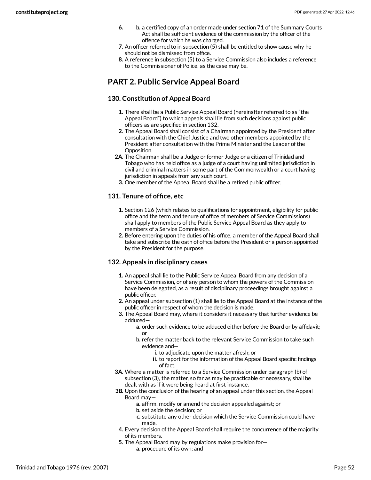- **6. b.** a certified copy of an order made under section 71 of the Summary Courts Act shall be sufficient evidence of the commission by the officer of the offence for which he was charged.
- **7.** An officer referred to in subsection (5) shall be entitled to show cause why he should not be dismissed from office.
- **8.** A reference in subsection (5) to a Service Commission also includes a reference to the Commissioner of Police, as the case may be.

## <span id="page-51-0"></span>**PART 2. Public Service Appeal Board**

## **130. Constitution of Appeal Board**

- **1.** There shall be a Public Service Appeal Board (hereinafter referred to as "the Appeal Board") to which appeals shall lie from such decisions against public officers as are specified in section 132.
- **2.** The Appeal Board shall consist of a Chairman appointed by the President after consultation with the Chief Justice and two other members appointed by the President after consultation with the Prime Minister and the Leader of the Opposition.
- **2A.** The Chairman shall be a Judge or former Judge or a citizen of Trinidad and Tobago who has held office as a judge of a court having unlimited jurisdiction in civil and criminal matters in some part of the Commonwealth or a court having jurisdiction in appeals from any such court.
- **3.** One member of the Appeal Board shall be a retired public officer.

## **131. Tenure of office, etc**

- **1.** Section 126 (which relates to qualifications for appointment, eligibility for public office and the term and tenure of office of members of Service Commissions) shall apply to members of the Public Service Appeal Board as they apply to members of a Service Commission.
- **2.** Before entering upon the duties of his office, a member of the Appeal Board shall take and subscribe the oath of office before the President or a person appointed by the President for the purpose.

## **132. Appeals in disciplinary cases**

- **1.** An appeal shall lie to the Public Service Appeal Board from any decision of a Service Commission, or of any person to whom the powers of the Commission have been delegated, as a result of disciplinary proceedings brought against a public officer.
- **2.** An appeal under subsection (1) shall lie to the Appeal Board at the instance of the public officer in respect of whom the decision is made.
- **3.** The Appeal Board may, where it considers it necessary that further evidence be adduced
	- **a.** order such evidence to be adduced either before the Board or by affidavit; or
	- **b.** refer the matter back to the relevant Service Commission to take such evidence and
		- **i.** to adjudicate upon the matter afresh; or
		- **ii.** to report for the information of the Appeal Board specific findings of fact.
- **3A.** Where a matter is referred to a Service Commission under paragraph (b) of subsection (3), the matter, so far as may be practicable or necessary, shall be dealt with as if it were being heard at first instance.
- **3B.** Upon the conclusion of the hearing of an appeal under this section, the Appeal Board may
	- **a.** affirm, modify or amend the decision appealed against; or
	- **b.** set aside the decision; or
	- **c.** substitute any other decision which the Service Commission could have made.
- **4.** Every decision of the Appeal Board shall require the concurrence of the majority of its members.
- **5.** The Appeal Board may by regulations make provision for **a.** procedure of its own; and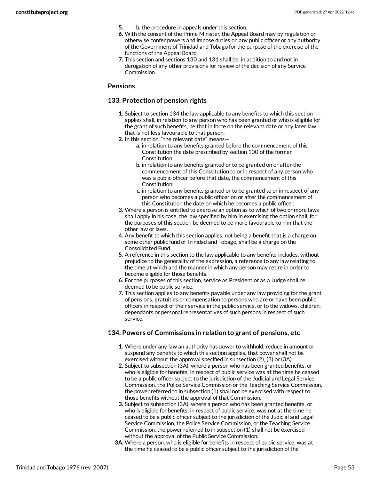- **5. b.** the procedure in appeals under this section.
- **6.** With the consent of the Prime Minister, the Appeal Board may by regulation or otherwise confer powers and impose duties on any public officer or any authority of the Government of Trinidad and Tobago for the purpose of the exercise of the functions of the Appeal Board.
- **7.** This section and sections 130 and 131 shall be, in addition to and not in derogation of any other provisions for review of the decision of any Service Commission.

#### **Pensions**

#### **133. Protection of pension rights**

- **1.** Subject to section 134 the law applicable to any benefits to which this section applies shall, in relation to any person who has been granted or who is eligible for the grant of such benefits, be that in force on the relevant date or any later law that is not less favourable to that person.
- **2.** In this section, "the relevant date" means
	- **a.** in relation to any benefits granted before the commencement of this Constitution the date prescribed by section 100 of the former Constitution;
	- **b.** in relation to any benefits granted or to be granted on or after the commencement of this Constitution to or in respect of any person who was a public officer before that date, the commencement of this Constitution;
	- **c.** in relation to any benefits granted or to be granted to or in respect of any person who becomes a public officer on or after the commencement of this Constitution the date on which he becomes a public officer.
- **3.** Where a person is entitled to exercise an option as to which of two or more laws shall apply in his case, the law specified by him in exercising the option shall, for the purposes of this section be deemed to be more favourable to him that the other law or laws.
- **4.** Any benefit to which this section applies, not being a benefit that is a charge on some other public fund of Trinidad and Tobago, shall be a charge on the Consolidated Fund.
- **5.** A reference in this section to the law applicable to any benefits includes, without prejudice to the generality of the expression, a reference to any law relating to the time at which and the manner in which any person may retire in order to become eligible for those benefits.
- **6.** For the purposes of this section, service as President or as a Judge shall be deemed to be public service.
- **7.** This section applies to any benefits payable under any law providing for the grant of pensions, gratuities or compensation to persons who are or have been public officers in respect of their service in the public service, or to the widows, children, dependants or personal representatives of such persons in respect of such service.

## **134. Powers of Commissions in relation to grant of pensions, etc**

- **1.** Where under any law an authority has power to withhold, reduce in amount or suspend any benefits to which this section applies, that power shall not be exercised without the approval specified in subsection (2), (3) or (3A).
- **2.** Subject to subsection (3A), where a person who has been granted benefits, or who is eligible for benefits, in respect of public service was at the time he ceased to be a public officer subject to the jurisdiction of the Judicial and Legal Service Commission, the Police Service Commission or the Teaching Service Commission, the power referred to in subsection (1) shall not be exercised with respect to those benefits without the approval of that Commission.
- **3.** Subject to subsection (3A), where a person who has been granted benefits, or who is eligible for benefits, in respect of public service, was not at the time he ceased to be a public officer subject to the jurisdiction of the Judicial and Legal Service Commission, the Police Service Commission, or the Teaching Service Commission, the power referred to in subsection (1) shall not be exercised without the approval of the Public Service Commission.
- **3A.** Where a person, who is eligible for benefits in respect of public service, was at the time he ceased to be a public officer subject to the jurisdiction of the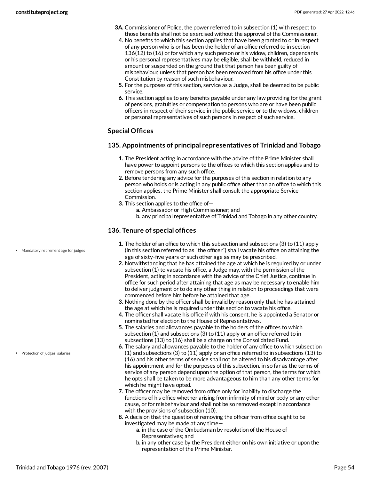- **3A.** Commissioner of Police, the power referred to in subsection (1) with respect to those benefits shall not be exercised without the approval of the Commissioner.
- **4.** No benefits to which this section applies that have been granted to or in respect of any person who is or has been the holder of an office referred to in section 136(12) to (16) or for which any such person or his widow, children, dependants or his personal representatives may be eligible, shall be withheld, reduced in amount or suspended on the ground that that person has been guilty of misbehaviour, unless that person has been removed from his office under this Constitution by reason of such misbehaviour.
- **5.** For the purposes of this section, service as a Judge, shall be deemed to be public service.
- **6.** This section applies to any benefits payable under any law providing for the grant of pensions, gratuities or compensation to persons who are or have been public officers in respect of their service in the public service or to the widows, children or personal representatives of such persons in respect of such service.

## **Special Offices**

## **135. Appointments of principal representatives of Trinidad and Tobago**

- **1.** The President acting in accordance with the advice of the Prime Minister shall have power to appoint persons to the offices to which this section applies and to remove persons from any such office.
- **2.** Before tendering any advice for the purposes of this section in relation to any person who holds or is acting in any public office other than an office to which this section applies, the Prime Minister shall consult the appropriate Service Commission.
- **3.** This section applies to the office of
	- **a.** Ambassador or High Commissioner; and **b.** any principal representative of Trinidad and Tobago in any other country.

## <span id="page-53-0"></span>**136. Tenure of special offices**

- **1.** The holder of an office to which this subsection and subsections (3) to (11) apply (in this section referred to as "the officer") shall vacate his office on attaining the age of sixty-five years or such other age as may be prescribed.
- **2.** Notwithstanding that he has attained the age at which he is required by or under subsection (1) to vacate his office, a Judge may, with the permission of the President, acting in accordance with the advice of the Chief Justice, continue in office for such period after attaining that age as may be necessary to enable him to deliver judgment or to do any other thing in relation to proceedings that were commenced before him before he attained that age.
- **3.** Nothing done by the officer shall be invalid by reason only that he has attained the age at which he is required under this section to vacate his office.
- **4.** The officer shall vacate his office if with his consent, he is appointed a Senator or nominated for election to the House of Representatives.
- **5.** The salaries and allowances payable to the holders of the offices to which subsection (1) and subsections (3) to (11) apply or an office referred to in subsections (13) to (16) shall be a charge on the Consolidated Fund.
- **6.** The salary and allowances payable to the holder of any office to which subsection (1) and subsections (3) to (11) apply or an office referred to in subsections (13) to (16) and his other terms of service shall not be altered to his disadvantage after his appointment and for the purposes of this subsection, in so far as the terms of service of any person depend upon the option of that person, the terms for which he opts shall be taken to be more advantageous to him than any other terms for which he might have opted.
- **7.** The officer may be removed from office only for inability to discharge the functions of his office whether arising from infirmity of mind or body or any other cause, or for misbehaviour and shall not be so removed except in accordance with the provisions of subsection (10).
- **8.** A decision that the question of removing the officer from office ought to be investigated may be made at any time
	- **a.** in the case of the Ombudsman by resolution of the House of Representatives; and
	- **b.** in any other case by the President either on his own initiative or upon the representation of the Prime Minister.

Mandatory retirement age for judges

• Protection of judges' salaries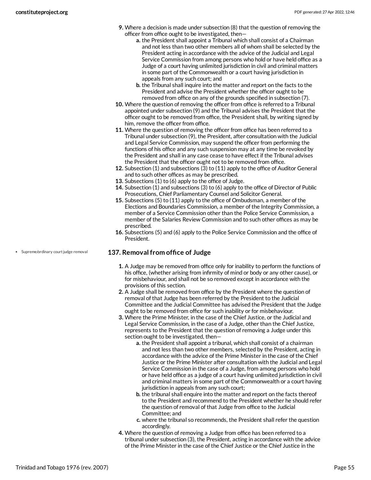- **9.** Where a decision is made under subsection (8) that the question of removing the officer from office ought to be investigated, then
	- **a.** the President shall appoint a Tribunal which shall consist of a Chairman and not less than two other members all of whom shall be selected by the President acting in accordance with the advice of the Judicial and Legal Service Commission from among persons who hold or have held office as a Judge of a court having unlimited jurisdiction in civil and criminal matters in some part of the Commonwealth or a court having jurisdiction in appeals from any such court; and
	- **b.** the Tribunal shall inquire into the matter and report on the facts to the President and advise the President whether the officer ought to be removed from office on any of the grounds specified in subsection (7).
- **10.** Where the question of removing the officer from office is referred to a Tribunal appointed under subsection (9) and the Tribunal advises the President that the officer ought to be removed from office, the President shall, by writing signed by him, remove the officer from office.
- **11.** Where the question of removing the officer from office has been referred to a Tribunal under subsection (9), the President, after consultation with the Judicial and Legal Service Commission, may suspend the officer from performing the functions of his office and any such suspension may at any time be revoked by the President and shall in any case cease to have effect if the Tribunal advises the President that the officer ought not to be removed from office.
- **12.** Subsection (1) and subsections (3) to (11) apply to the office of Auditor General and to such other offices as may be prescribed.
- **13.** Subsections (1) to (6) apply to the office of Judge.
- **14.** Subsection (1) and subsections (3) to (6) apply to the office of Director of Public Prosecutions, Chief Parliamentary Counsel and Solicitor General.
- **15.** Subsections (5) to (11) apply to the office of Ombudsman, a member of the Elections and Boundaries Commission, a member of the Integrity Commission, a member of a Service Commission other than the Police Service Commission, a member of the Salaries Review Commission and to such other offices as may be prescribed.
- **16.** Subsections (5) and (6) apply to the Police Service Commission and the office of President.

## <span id="page-54-0"></span>**137. Removal from office of Judge**

- **1.** A Judge may be removed from office only for inability to perform the functions of his office, (whether arising from infirmity of mind or body or any other cause), or for misbehaviour, and shall not be so removed except in accordance with the provisions of this section.
- **2.** A Judge shall be removed from office by the President where the question of removal of that Judge has been referred by the President to the Judicial Committee and the Judicial Committee has advised the President that the Judge ought to be removed from office for such inability or for misbehaviour.
- **3.** Where the Prime Minister, in the case of the Chief Justice, or the Judicial and Legal Service Commission, in the case of a Judge, other than the Chief Justice, represents to the President that the question of removing a Judge under this section ought to be investigated, then
	- **a.** the President shall appoint a tribunal, which shall consist of a chairman and not less than two other members, selected by the President, acting in accordance with the advice of the Prime Minister in the case of the Chief Justice or the Prime Minister after consultation with the Judicial and Legal Service Commission in the case of a Judge, from among persons who hold or have held office as a judge of a court having unlimited jurisdiction in civil and criminal matters in some part of the Commonwealth or a court having jurisdiction in appeals from any such court;
	- **b.** the tribunal shall enquire into the matter and report on the facts thereof to the President and recommend to the President whether he should refer the question of removal of that Judge from office to the Judicial Committee; and
	- **c.** where the tribunal so recommends, the President shall refer the question accordingly.
- **4.** Where the question of removing a Judge from office has been referred to a tribunal under subsection (3), the President, acting in accordance with the advice of the Prime Minister in the case of the Chief Justice or the Chief Justice in the

 $\bullet$  Supreme/ordinary court judge removal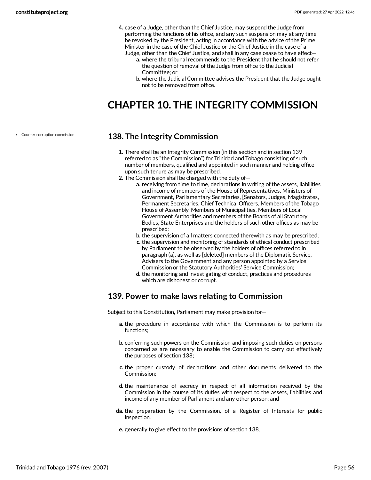- **4.** case of a Judge, other than the Chief Justice, may suspend the Judge from performing the functions of his office, and any such suspension may at any time be revoked by the President, acting in accordance with the advice of the Prime Minister in the case of the Chief Justice or the Chief Justice in the case of a Judge, other than the Chief Justice, and shall in any case cease to have effect
	- **a.** where the tribunal recommends to the President that he should not refer the question of removal of the Judge from office to the Judicial Committee; or
	- **b.** where the Judicial Committee advises the President that the Judge ought not to be removed from office.

# <span id="page-55-0"></span>**CHAPTER 10. THE INTEGRITY COMMISSION**

#### Counter corruption commission

## <span id="page-55-1"></span>**138. The Integrity Commission**

- **1.** There shall be an Integrity Commission (in this section and in section 139 referred to as "the Commission") for Trinidad and Tobago consisting of such number of members, qualified and appointed in such manner and holding office upon such tenure as may be prescribed.
- **2.** The Commission shall be charged with the duty of
	- **a.** receiving from time to time, declarations in writing of the assets, liabilities and income of members of the House of Representatives, Ministers of Government, Parliamentary Secretaries, [Senators, Judges, Magistrates, Permanent Secretaries, Chief Technical Officers, Members of the Tobago House of Assembly, Members of Municipalities, Members of Local Government Authorities and members of the Boards of all Statutory Bodies, State Enterprises and the holders of such other offices as may be prescribed;
	- **b.** the supervision of all matters connected therewith as may be prescribed;
	- **c.** the supervision and monitoring of standards of ethical conduct prescribed by Parliament to be observed by the holders of offices referred to in paragraph (a), as well as [deleted] members of the Diplomatic Service, Advisers to the Government and any person appointed by a Service Commission or the Statutory Authorities' Service Commission;
	- **d.** the monitoring and investigating of conduct, practices and procedures which are dishonest or corrupt.

## <span id="page-55-2"></span>**139. Power to make laws relating to Commission**

Subject to this Constitution, Parliament may make provision for—

- **a.** the procedure in accordance with which the Commission is to perform its functions;
- **b.** conferring such powers on the Commission and imposing such duties on persons concerned as are necessary to enable the Commission to carry out effectively the purposes of section 138;
- **c.** the proper custody of declarations and other documents delivered to the Commission;
- **d.** the maintenance of secrecy in respect of all information received by the Commission in the course of its duties with respect to the assets, liabilities and income of any member of Parliament and any other person; and
- **da.** the preparation by the Commission, of a Register of Interests for public inspection.

**e.** generally to give effect to the provisions of section 138.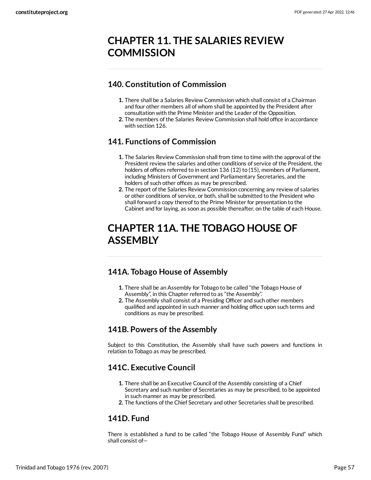# <span id="page-56-0"></span>**CHAPTER 11. THE SALARIES REVIEW COMMISSION**

## <span id="page-56-1"></span>**140. Constitution of Commission**

- **1.** There shall be a Salaries Review Commission which shall consist of a Chairman and four other members all of whom shall be appointed by the President after consultation with the Prime Minister and the Leader of the Opposition.
- **2.** The members of the Salaries Review Commission shall hold office in accordance with section 126.

## <span id="page-56-2"></span>**141. Functions of Commission**

- **1.** The Salaries Review Commission shall from time to time with the approval of the President review the salaries and other conditions of service of the President, the holders of offices referred to in section 136 (12) to (15), members of Parliament, including Ministers of Government and Parliamentary Secretaries, and the holders of such other offices as may be prescribed.
- **2.** The report of the Salaries Review Commission concerning any review of salaries or other conditions of service, or both, shall be submitted to the President who shall forward a copy thereof to the Prime Minister for presentation to the Cabinet and for laying, as soon as possible thereafter, on the table of each House.

# <span id="page-56-3"></span>**CHAPTER 11A. THE TOBAGO HOUSE OF ASSEMBLY**

## <span id="page-56-4"></span>**141A. Tobago House of Assembly**

- **1.** There shall be an Assembly for Tobago to be called "the Tobago House of Assembly", in this Chapter referred to as "the Assembly".
- **2.** The Assembly shall consist of a Presiding Officer and such other members qualified and appointed in such manner and holding office upon such terms and conditions as may be prescribed.

## <span id="page-56-5"></span>**141B. Powers of the Assembly**

Subject to this Constitution, the Assembly shall have such powers and functions in relation to Tobago as may be prescribed.

## <span id="page-56-6"></span>**141C. Executive Council**

- **1.** There shall be an Executive Council of the Assembly consisting of a Chief Secretary and such number of Secretaries as may be prescribed, to be appointed in such manner as may be prescribed.
- **2.** The functions of the Chief Secretary and other Secretaries shall be prescribed.

## <span id="page-56-7"></span>**141D. Fund**

There is established a fund to be called "the Tobago House of Assembly Fund" which shall consist of—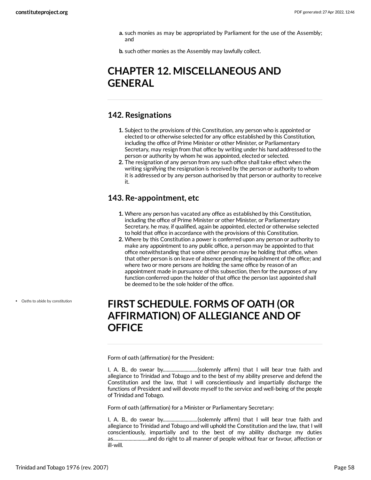- **a.** such monies as may be appropriated by Parliament for the use of the Assembly; and
- **b.** such other monies as the Assembly may lawfully collect.

# <span id="page-57-0"></span>**CHAPTER 12. MISCELLANEOUS AND GENERAL**

## <span id="page-57-1"></span>**142. Resignations**

- **1.** Subject to the provisions of this Constitution, any person who is appointed or elected to or otherwise selected for any office established by this Constitution, including the office of Prime Minister or other Minister, or Parliamentary Secretary, may resign from that office by writing under his hand addressed to the person or authority by whom he was appointed, elected or selected.
- **2.** The resignation of any person from any such office shall take effect when the writing signifying the resignation is received by the person or authority to whom it is addressed or by any person authorised by that person or authority to receive it.

## <span id="page-57-2"></span>**143. Re-appointment, etc**

- **1.** Where any person has vacated any office as established by this Constitution, including the office of Prime Minister or other Minister, or Parliamentary Secretary, he may, if qualified, again be appointed, elected or otherwise selected to hold that office in accordance with the provisions of this Constitution.
- **2.** Where by this Constitution a power is conferred upon any person or authority to make any appointment to any public office, a person may be appointed to that office notwithstanding that some other person may be holding that office, when that other person is on leave of absence pending relinquishment of the office; and where two or more persons are holding the same office by reason of an appointment made in pursuance of this subsection, then for the purposes of any function conferred upon the holder of that office the person last appointed shall be deemed to be the sole holder of the office.
- Oaths to abide by constitution

# <span id="page-57-3"></span>**FIRST SCHEDULE. FORMS OF OATH (OR AFFIRMATION) OF ALLEGIANCE AND OF OFFICE**

Form of oath (affirmation) for the President:

I, A. B., do swear by...........................(solemnly affirm) that I will bear true faith and allegiance to Trinidad and Tobago and to the best of my ability preserve and defend the Constitution and the law, that I will conscientiously and impartially discharge the functions of President and will devote myself to the service and well-being of the people of Trinidad and Tobago.

Form of oath (affirmation) for a Minister or Parliamentary Secretary:

I, A. B., do swear by...........................(solemnly affirm) that I will bear true faith and allegiance to Trinidad and Tobago and will uphold the Constitution and the law, that I will conscientiously, impartially and to the best of my ability discharge my duties as...........................and do right to all manner of people without fear or favour, affection or ill-will.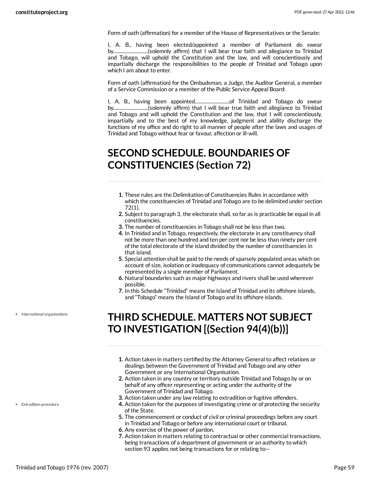Form of oath (affirmation) for a member of the House of Representatives or the Senate:

I, A. B., having been elected/appointed a member of Parliament do swear by...........................(solemnly affirm) that I will bear true faith and allegiance to Trinidad and Tobago, will uphold the Constitution and the law, and will conscientiously and impartially discharge the responsibilities to the people of Trinidad and Tobago upon which I am about to enter.

Form of oath (affirmation) for the Ombudsman, a Judge, the Auditor General, a member of a Service Commission or a member of the Public Service Appeal Board:

I, A. B., having been appointed...........................of Trinidad and Tobago do swear by...........................(solemnly affirm) that I will bear true faith and allegiance to Trinidad and Tobago and will uphold the Constitution and the law, that I will conscientiously, impartially and to the best of my knowledge, judgment and ability discharge the functions of my office and do right to all manner of people after the laws and usages of Trinidad and Tobago without fear or favour, affection or ill-will.

# <span id="page-58-0"></span>**SECOND SCHEDULE. BOUNDARIES OF CONSTITUENCIES (Section 72)**

- **1.** These rules are the Delimitation of Constituencies Rules in accordance with which the constituencies of Trinidad and Tobago are to be delimited under section 72(1).
- **2.** Subject to paragraph 3, the electorate shall, so far as is practicable be equal in all constituencies.
- **3.** The number of constituencies in Tobago shall not be less than two.
- **4.** In Trinidad and in Tobago, respectively, the electorate in any constituency shall not be more than one hundred and ten per cent nor be less than ninety per cent of the total electorate of the island divided by the number of constituencies in that island.
- **5.** Special attention shall be paid to the needs of sparsely populated areas which on account of size, isolation or inadequacy of communications cannot adequately be represented by a single member of Parliament.
- **6.** Natural boundaries such as major highways and rivers shall be used wherever possible.
- **7.** In this Schedule "Trinidad" means the Island of Trinidad and its offshore islands, and "Tobago" means the Island of Tobago and its offshore islands.

• International organizations

Extradition procedure

# <span id="page-58-1"></span>**THIRD SCHEDULE. MATTERS NOT SUBJECT TO INVESTIGATION [(Section 94(4)(b))]**

- **1.** Action taken in matters certified by the Attorney General to affect relations or dealings between the Government of Trinidad and Tobago and any other Government or any International Organisation.
- **2.** Action taken in any country or territory outside Trinidad and Tobago by or on behalf of any officer representing or acting under the authority of the Government of Trinidad and Tobago.
- **3.** Action taken under any law relating to extradition or fugitive offenders.
- **4.** Action taken for the purposes of investigating crime or of protecting the security of the State.
- **5.** The commencement or conduct of civil or criminal proceedings before any court in Trinidad and Tobago or before any international court or tribunal.
- **6.** Any exercise of the power of pardon.
- **7.** Action taken in matters relating to contractual or other commercial transactions, being transactions of a department of government or an authority to which section 93 applies not being transactions for or relating to—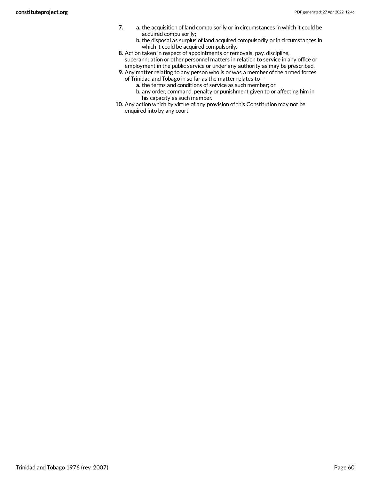- **7. a.** the acquisition of land compulsorily or in circumstances in which it could be acquired compulsorily;
	- **b.** the disposal as surplus of land acquired compulsorily or in circumstances in which it could be acquired compulsorily.
- **8.** Action taken in respect of appointments or removals, pay, discipline, superannuation or other personnel matters in relation to service in any office or employment in the public service or under any authority as may be prescribed.
- **9.** Any matter relating to any person who is or was a member of the armed forces of Trinidad and Tobago in so far as the matter relates to
	- **a.** the terms and conditions of service as such member; or
	- **b.** any order, command, penalty or punishment given to or affecting him in his capacity as such member.
- **10.** Any action which by virtue of any provision of this Constitution may not be enquired into by any court.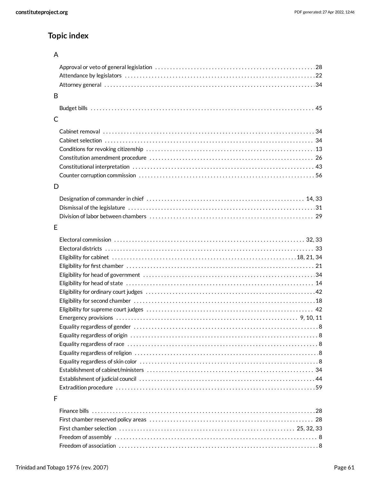# **Topic index**

## A

| B                                                                                                                              |  |
|--------------------------------------------------------------------------------------------------------------------------------|--|
|                                                                                                                                |  |
| $\mathsf{C}$                                                                                                                   |  |
|                                                                                                                                |  |
|                                                                                                                                |  |
|                                                                                                                                |  |
|                                                                                                                                |  |
|                                                                                                                                |  |
|                                                                                                                                |  |
| D                                                                                                                              |  |
|                                                                                                                                |  |
|                                                                                                                                |  |
|                                                                                                                                |  |
| E                                                                                                                              |  |
|                                                                                                                                |  |
|                                                                                                                                |  |
|                                                                                                                                |  |
|                                                                                                                                |  |
|                                                                                                                                |  |
|                                                                                                                                |  |
|                                                                                                                                |  |
|                                                                                                                                |  |
|                                                                                                                                |  |
|                                                                                                                                |  |
|                                                                                                                                |  |
|                                                                                                                                |  |
|                                                                                                                                |  |
|                                                                                                                                |  |
| Equality regardless of skin color $\dots\dots\dots\dots\dots\dots\dots\dots\dots\dots\dots\dots\dots\dots\dots\dots\dots\dots$ |  |
|                                                                                                                                |  |
|                                                                                                                                |  |
|                                                                                                                                |  |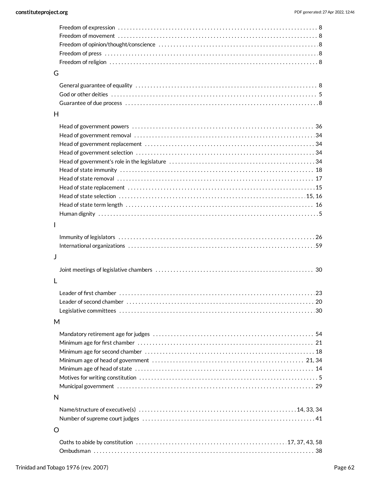## G

#### H

#### J

## [23](#page-22-0) Leader of first chamber . . . . . . . . . . . . . . . . . . . . . . . . . . . . . . . . . . . . . . . . . . . . . . . . . . . . . . . . . . . . . . . . . . [20](#page-19-0) Leader of second chamber . . . . . . . . . . . . . . . . . . . . . . . . . . . . . . . . . . . . . . . . . . . . . . . . . . . . . . . . . . . . . . . [30](#page-29-0) Legislative committees . . . . . . . . . . . . . . . . . . . . . . . . . . . . . . . . . . . . . . . . . . . . . . . . . . . . . . . . . . . . . . . . . .

#### M

## N

## O